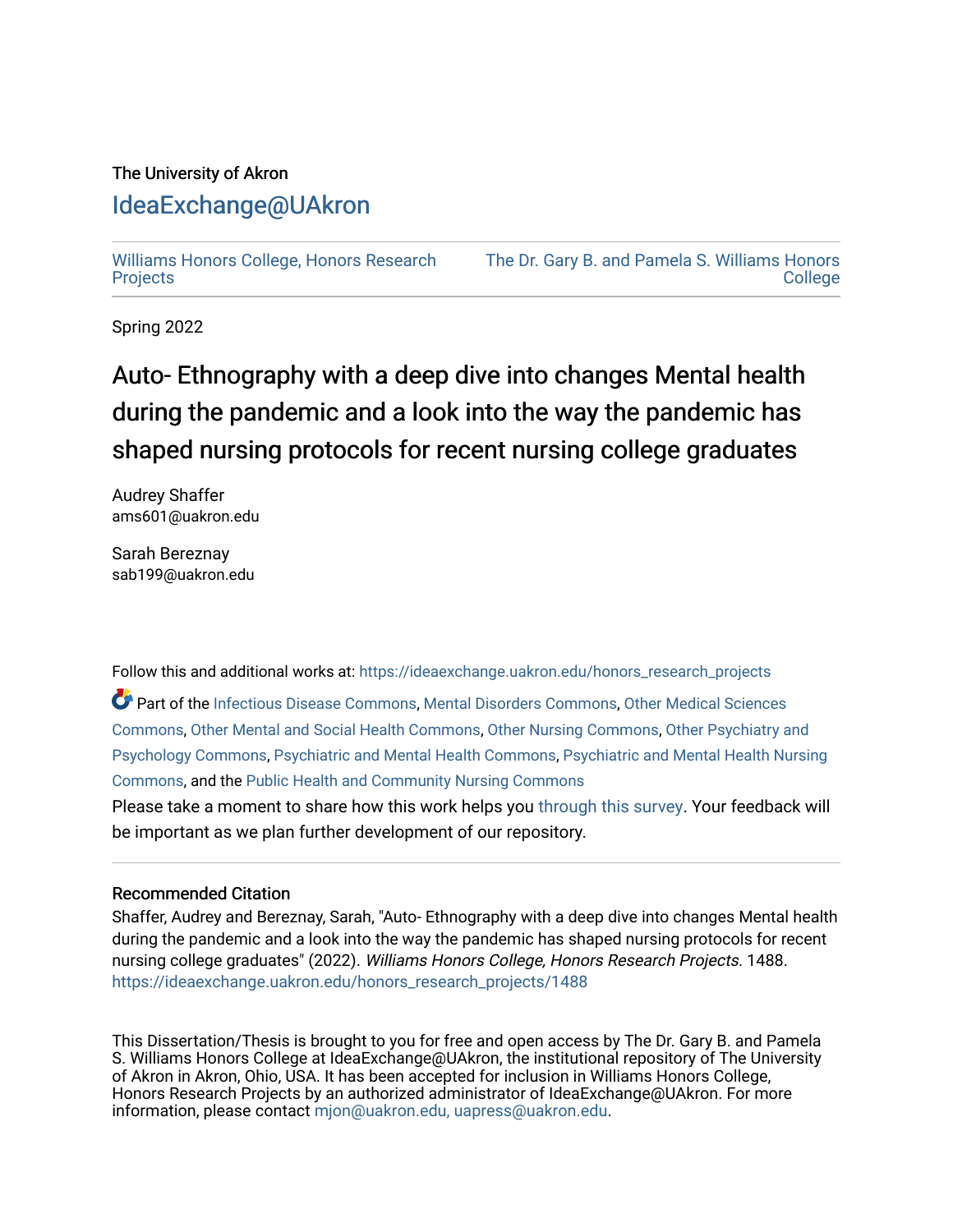# The University of Akron [IdeaExchange@UAkron](https://ideaexchange.uakron.edu/)

[Williams Honors College, Honors Research](https://ideaexchange.uakron.edu/honors_research_projects)  [Projects](https://ideaexchange.uakron.edu/honors_research_projects)

[The Dr. Gary B. and Pamela S. Williams Honors](https://ideaexchange.uakron.edu/honorscollege_ideas)  **College** 

Spring 2022

# Auto- Ethnography with a deep dive into changes Mental health during the pandemic and a look into the way the pandemic has shaped nursing protocols for recent nursing college graduates

Audrey Shaffer ams601@uakron.edu

Sarah Bereznay sab199@uakron.edu

Follow this and additional works at: [https://ideaexchange.uakron.edu/honors\\_research\\_projects](https://ideaexchange.uakron.edu/honors_research_projects?utm_source=ideaexchange.uakron.edu%2Fhonors_research_projects%2F1488&utm_medium=PDF&utm_campaign=PDFCoverPages) 

Part of the [Infectious Disease Commons,](http://network.bepress.com/hgg/discipline/689?utm_source=ideaexchange.uakron.edu%2Fhonors_research_projects%2F1488&utm_medium=PDF&utm_campaign=PDFCoverPages) [Mental Disorders Commons,](http://network.bepress.com/hgg/discipline/968?utm_source=ideaexchange.uakron.edu%2Fhonors_research_projects%2F1488&utm_medium=PDF&utm_campaign=PDFCoverPages) [Other Medical Sciences](http://network.bepress.com/hgg/discipline/679?utm_source=ideaexchange.uakron.edu%2Fhonors_research_projects%2F1488&utm_medium=PDF&utm_campaign=PDFCoverPages)  [Commons](http://network.bepress.com/hgg/discipline/679?utm_source=ideaexchange.uakron.edu%2Fhonors_research_projects%2F1488&utm_medium=PDF&utm_campaign=PDFCoverPages), [Other Mental and Social Health Commons,](http://network.bepress.com/hgg/discipline/717?utm_source=ideaexchange.uakron.edu%2Fhonors_research_projects%2F1488&utm_medium=PDF&utm_campaign=PDFCoverPages) [Other Nursing Commons](http://network.bepress.com/hgg/discipline/729?utm_source=ideaexchange.uakron.edu%2Fhonors_research_projects%2F1488&utm_medium=PDF&utm_campaign=PDFCoverPages), [Other Psychiatry and](http://network.bepress.com/hgg/discipline/992?utm_source=ideaexchange.uakron.edu%2Fhonors_research_projects%2F1488&utm_medium=PDF&utm_campaign=PDFCoverPages)  [Psychology Commons,](http://network.bepress.com/hgg/discipline/992?utm_source=ideaexchange.uakron.edu%2Fhonors_research_projects%2F1488&utm_medium=PDF&utm_campaign=PDFCoverPages) [Psychiatric and Mental Health Commons](http://network.bepress.com/hgg/discipline/711?utm_source=ideaexchange.uakron.edu%2Fhonors_research_projects%2F1488&utm_medium=PDF&utm_campaign=PDFCoverPages), [Psychiatric and Mental Health Nursing](http://network.bepress.com/hgg/discipline/724?utm_source=ideaexchange.uakron.edu%2Fhonors_research_projects%2F1488&utm_medium=PDF&utm_campaign=PDFCoverPages)  [Commons](http://network.bepress.com/hgg/discipline/724?utm_source=ideaexchange.uakron.edu%2Fhonors_research_projects%2F1488&utm_medium=PDF&utm_campaign=PDFCoverPages), and the [Public Health and Community Nursing Commons](http://network.bepress.com/hgg/discipline/725?utm_source=ideaexchange.uakron.edu%2Fhonors_research_projects%2F1488&utm_medium=PDF&utm_campaign=PDFCoverPages) 

Please take a moment to share how this work helps you [through this survey](http://survey.az1.qualtrics.com/SE/?SID=SV_eEVH54oiCbOw05f&URL=https://ideaexchange.uakron.edu/honors_research_projects/1488). Your feedback will be important as we plan further development of our repository.

# Recommended Citation

Shaffer, Audrey and Bereznay, Sarah, "Auto- Ethnography with a deep dive into changes Mental health during the pandemic and a look into the way the pandemic has shaped nursing protocols for recent nursing college graduates" (2022). Williams Honors College, Honors Research Projects. 1488. [https://ideaexchange.uakron.edu/honors\\_research\\_projects/1488](https://ideaexchange.uakron.edu/honors_research_projects/1488?utm_source=ideaexchange.uakron.edu%2Fhonors_research_projects%2F1488&utm_medium=PDF&utm_campaign=PDFCoverPages) 

This Dissertation/Thesis is brought to you for free and open access by The Dr. Gary B. and Pamela S. Williams Honors College at IdeaExchange@UAkron, the institutional repository of The University of Akron in Akron, Ohio, USA. It has been accepted for inclusion in Williams Honors College, Honors Research Projects by an authorized administrator of IdeaExchange@UAkron. For more information, please contact [mjon@uakron.edu, uapress@uakron.edu.](mailto:mjon@uakron.edu,%20uapress@uakron.edu)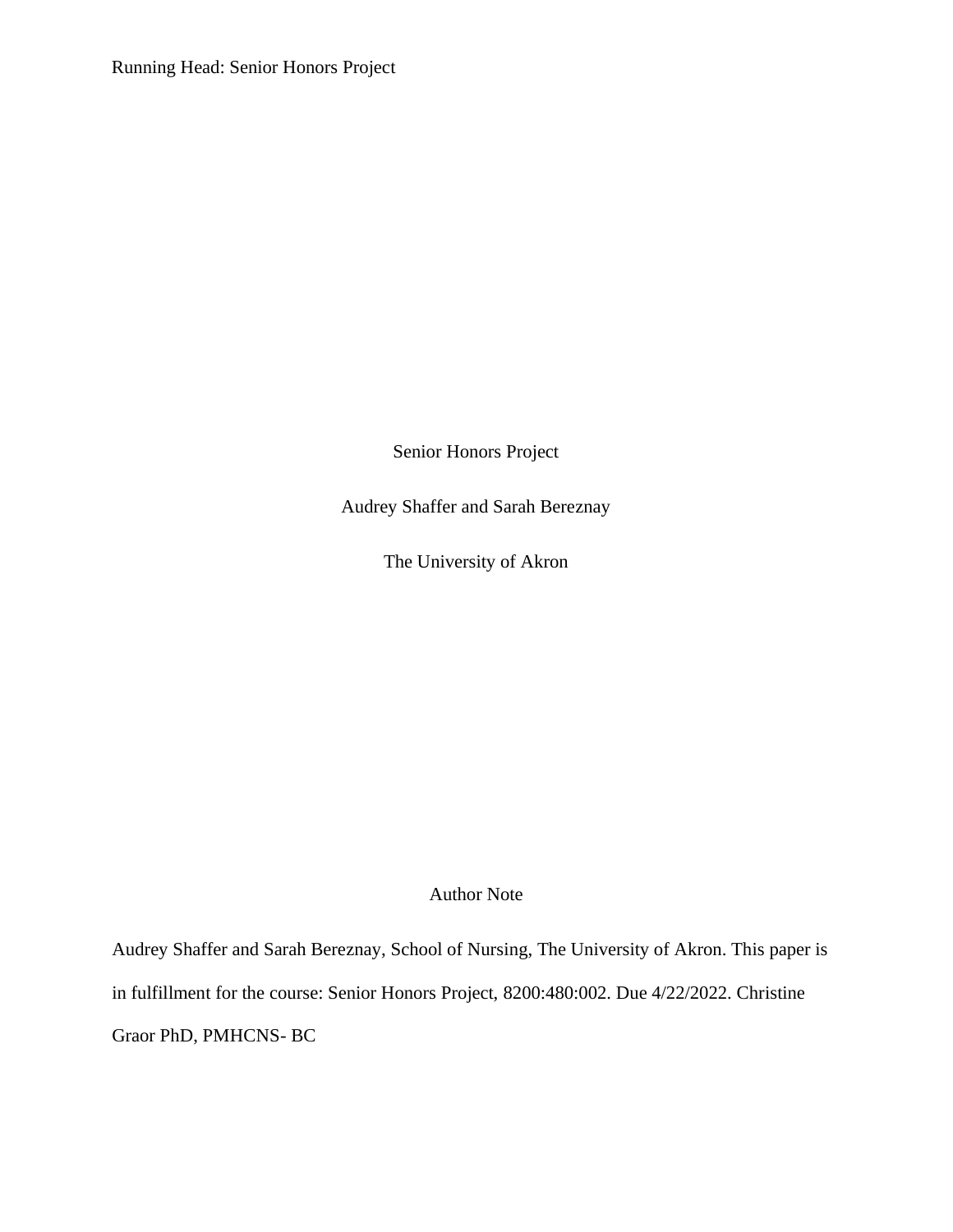Running Head: Senior Honors Project

Senior Honors Project

Audrey Shaffer and Sarah Bereznay

The University of Akron

Author Note

Audrey Shaffer and Sarah Bereznay, School of Nursing, The University of Akron. This paper is in fulfillment for the course: Senior Honors Project, 8200:480:002. Due 4/22/2022. Christine Graor PhD, PMHCNS- BC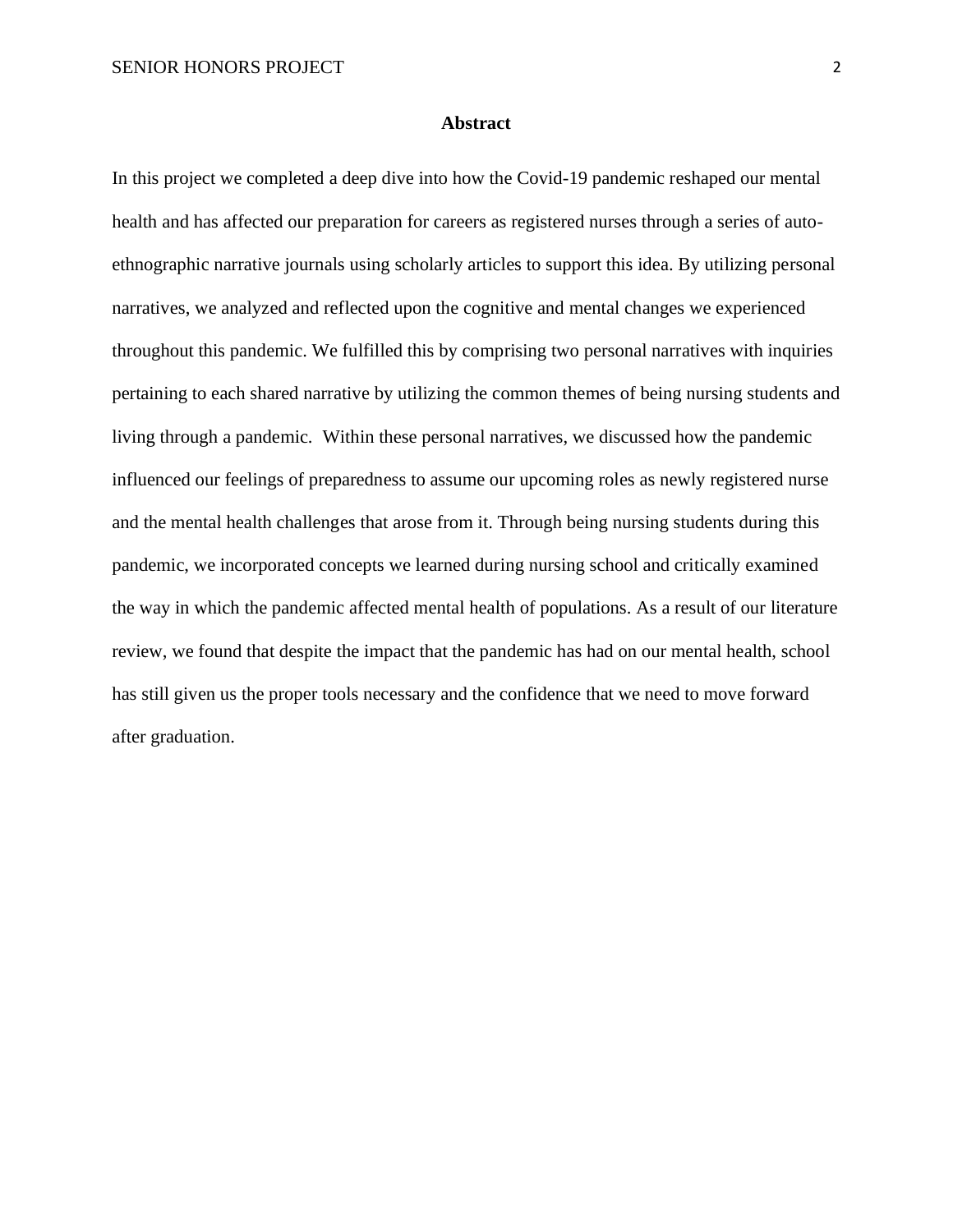#### **Abstract**

In this project we completed a deep dive into how the Covid-19 pandemic reshaped our mental health and has affected our preparation for careers as registered nurses through a series of autoethnographic narrative journals using scholarly articles to support this idea. By utilizing personal narratives, we analyzed and reflected upon the cognitive and mental changes we experienced throughout this pandemic. We fulfilled this by comprising two personal narratives with inquiries pertaining to each shared narrative by utilizing the common themes of being nursing students and living through a pandemic. Within these personal narratives, we discussed how the pandemic influenced our feelings of preparedness to assume our upcoming roles as newly registered nurse and the mental health challenges that arose from it. Through being nursing students during this pandemic, we incorporated concepts we learned during nursing school and critically examined the way in which the pandemic affected mental health of populations. As a result of our literature review, we found that despite the impact that the pandemic has had on our mental health, school has still given us the proper tools necessary and the confidence that we need to move forward after graduation.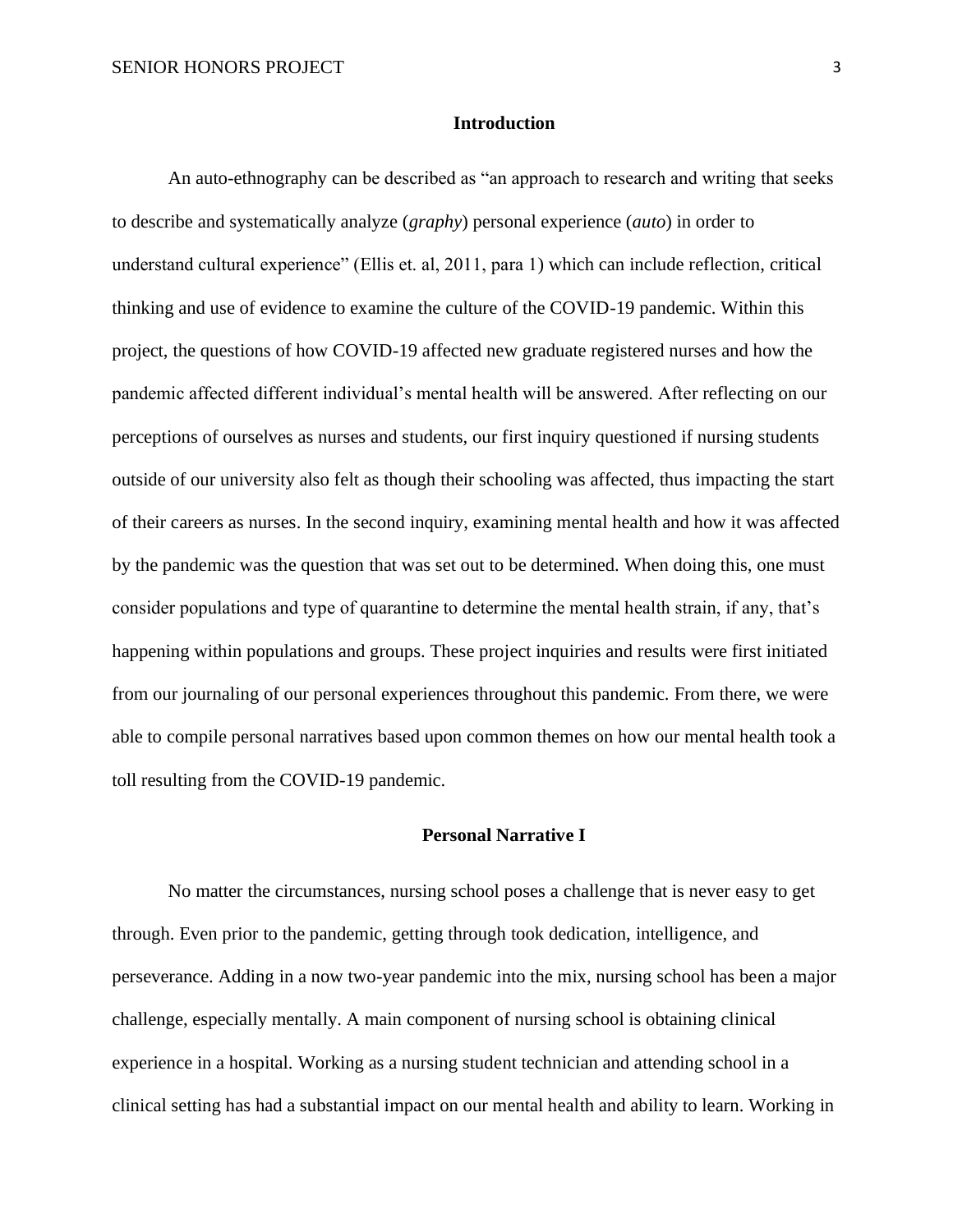#### **Introduction**

An auto-ethnography can be described as "an approach to research and writing that seeks to describe and systematically analyze (*graphy*) personal experience (*auto*) in order to understand cultural experience" (Ellis et. al, 2011, para 1) which can include reflection, critical thinking and use of evidence to examine the culture of the COVID-19 pandemic. Within this project, the questions of how COVID-19 affected new graduate registered nurses and how the pandemic affected different individual's mental health will be answered. After reflecting on our perceptions of ourselves as nurses and students, our first inquiry questioned if nursing students outside of our university also felt as though their schooling was affected, thus impacting the start of their careers as nurses. In the second inquiry, examining mental health and how it was affected by the pandemic was the question that was set out to be determined. When doing this, one must consider populations and type of quarantine to determine the mental health strain, if any, that's happening within populations and groups. These project inquiries and results were first initiated from our journaling of our personal experiences throughout this pandemic. From there, we were able to compile personal narratives based upon common themes on how our mental health took a toll resulting from the COVID-19 pandemic.

#### **Personal Narrative I**

No matter the circumstances, nursing school poses a challenge that is never easy to get through. Even prior to the pandemic, getting through took dedication, intelligence, and perseverance. Adding in a now two-year pandemic into the mix, nursing school has been a major challenge, especially mentally. A main component of nursing school is obtaining clinical experience in a hospital. Working as a nursing student technician and attending school in a clinical setting has had a substantial impact on our mental health and ability to learn. Working in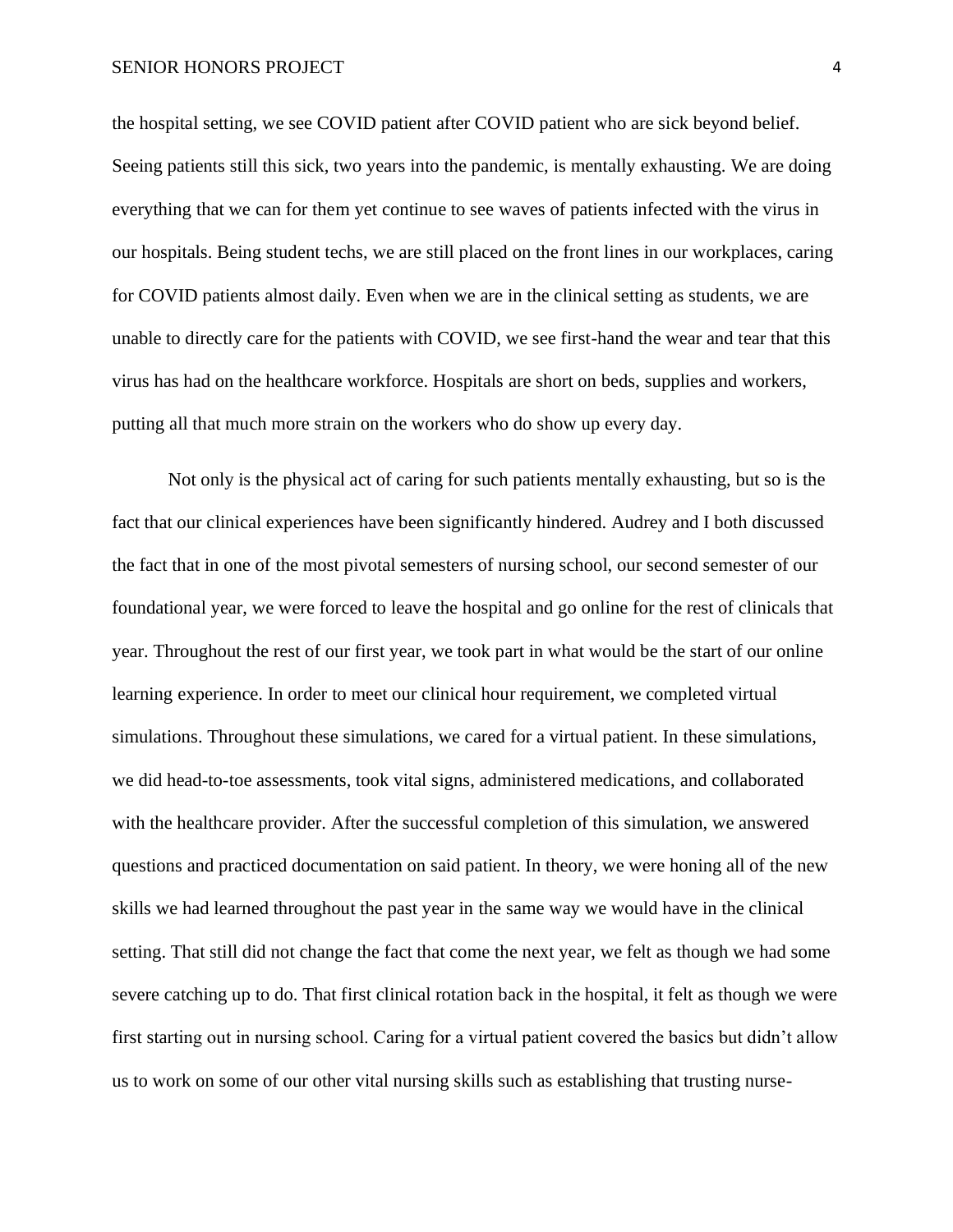the hospital setting, we see COVID patient after COVID patient who are sick beyond belief. Seeing patients still this sick, two years into the pandemic, is mentally exhausting. We are doing everything that we can for them yet continue to see waves of patients infected with the virus in our hospitals. Being student techs, we are still placed on the front lines in our workplaces, caring for COVID patients almost daily. Even when we are in the clinical setting as students, we are unable to directly care for the patients with COVID, we see first-hand the wear and tear that this virus has had on the healthcare workforce. Hospitals are short on beds, supplies and workers, putting all that much more strain on the workers who do show up every day.

Not only is the physical act of caring for such patients mentally exhausting, but so is the fact that our clinical experiences have been significantly hindered. Audrey and I both discussed the fact that in one of the most pivotal semesters of nursing school, our second semester of our foundational year, we were forced to leave the hospital and go online for the rest of clinicals that year. Throughout the rest of our first year, we took part in what would be the start of our online learning experience. In order to meet our clinical hour requirement, we completed virtual simulations. Throughout these simulations, we cared for a virtual patient. In these simulations, we did head-to-toe assessments, took vital signs, administered medications, and collaborated with the healthcare provider. After the successful completion of this simulation, we answered questions and practiced documentation on said patient. In theory, we were honing all of the new skills we had learned throughout the past year in the same way we would have in the clinical setting. That still did not change the fact that come the next year, we felt as though we had some severe catching up to do. That first clinical rotation back in the hospital, it felt as though we were first starting out in nursing school. Caring for a virtual patient covered the basics but didn't allow us to work on some of our other vital nursing skills such as establishing that trusting nurse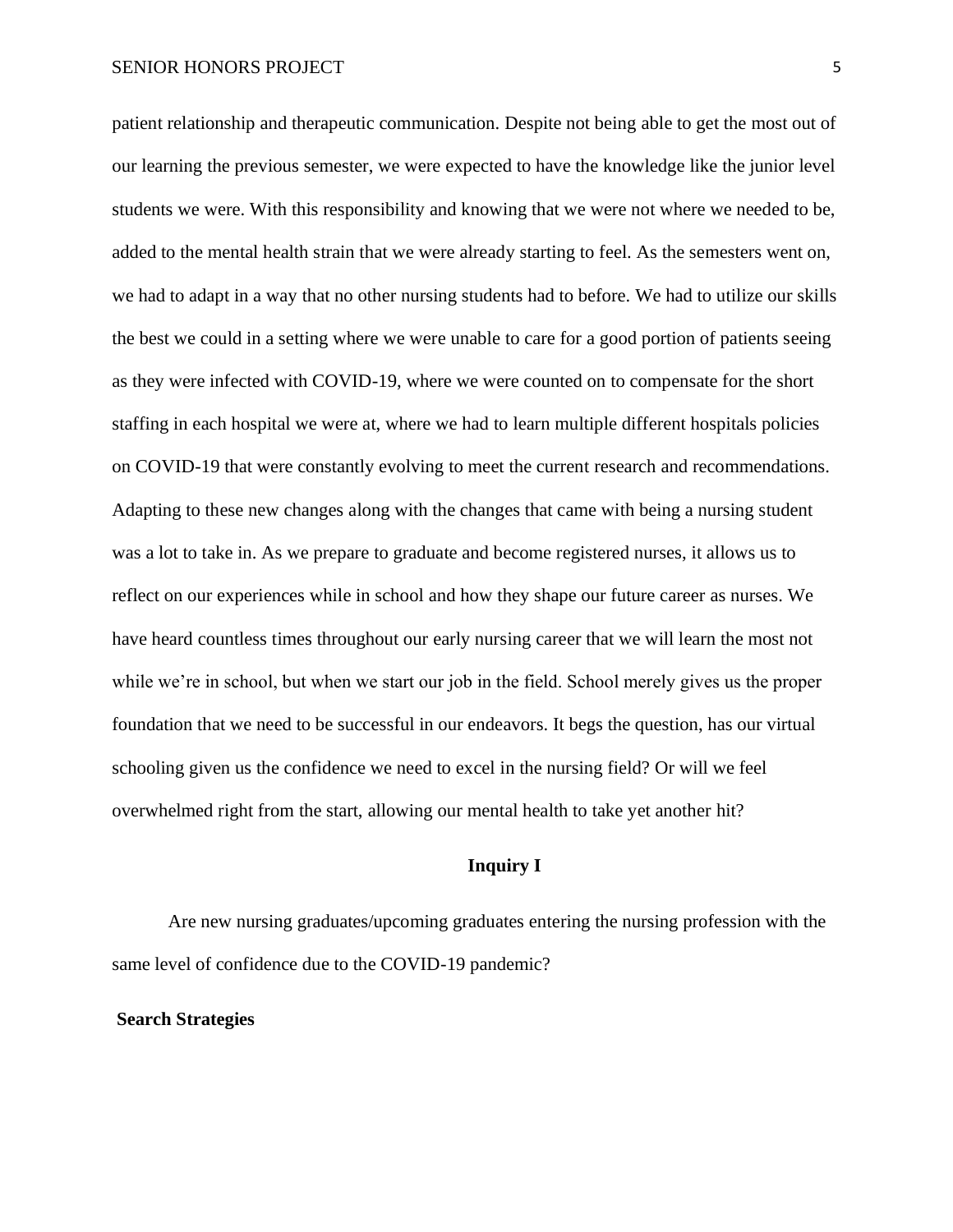patient relationship and therapeutic communication. Despite not being able to get the most out of our learning the previous semester, we were expected to have the knowledge like the junior level students we were. With this responsibility and knowing that we were not where we needed to be, added to the mental health strain that we were already starting to feel. As the semesters went on, we had to adapt in a way that no other nursing students had to before. We had to utilize our skills the best we could in a setting where we were unable to care for a good portion of patients seeing as they were infected with COVID-19, where we were counted on to compensate for the short staffing in each hospital we were at, where we had to learn multiple different hospitals policies on COVID-19 that were constantly evolving to meet the current research and recommendations. Adapting to these new changes along with the changes that came with being a nursing student was a lot to take in. As we prepare to graduate and become registered nurses, it allows us to reflect on our experiences while in school and how they shape our future career as nurses. We have heard countless times throughout our early nursing career that we will learn the most not while we're in school, but when we start our job in the field. School merely gives us the proper foundation that we need to be successful in our endeavors. It begs the question, has our virtual schooling given us the confidence we need to excel in the nursing field? Or will we feel overwhelmed right from the start, allowing our mental health to take yet another hit?

# **Inquiry I**

Are new nursing graduates/upcoming graduates entering the nursing profession with the same level of confidence due to the COVID-19 pandemic?

#### **Search Strategies**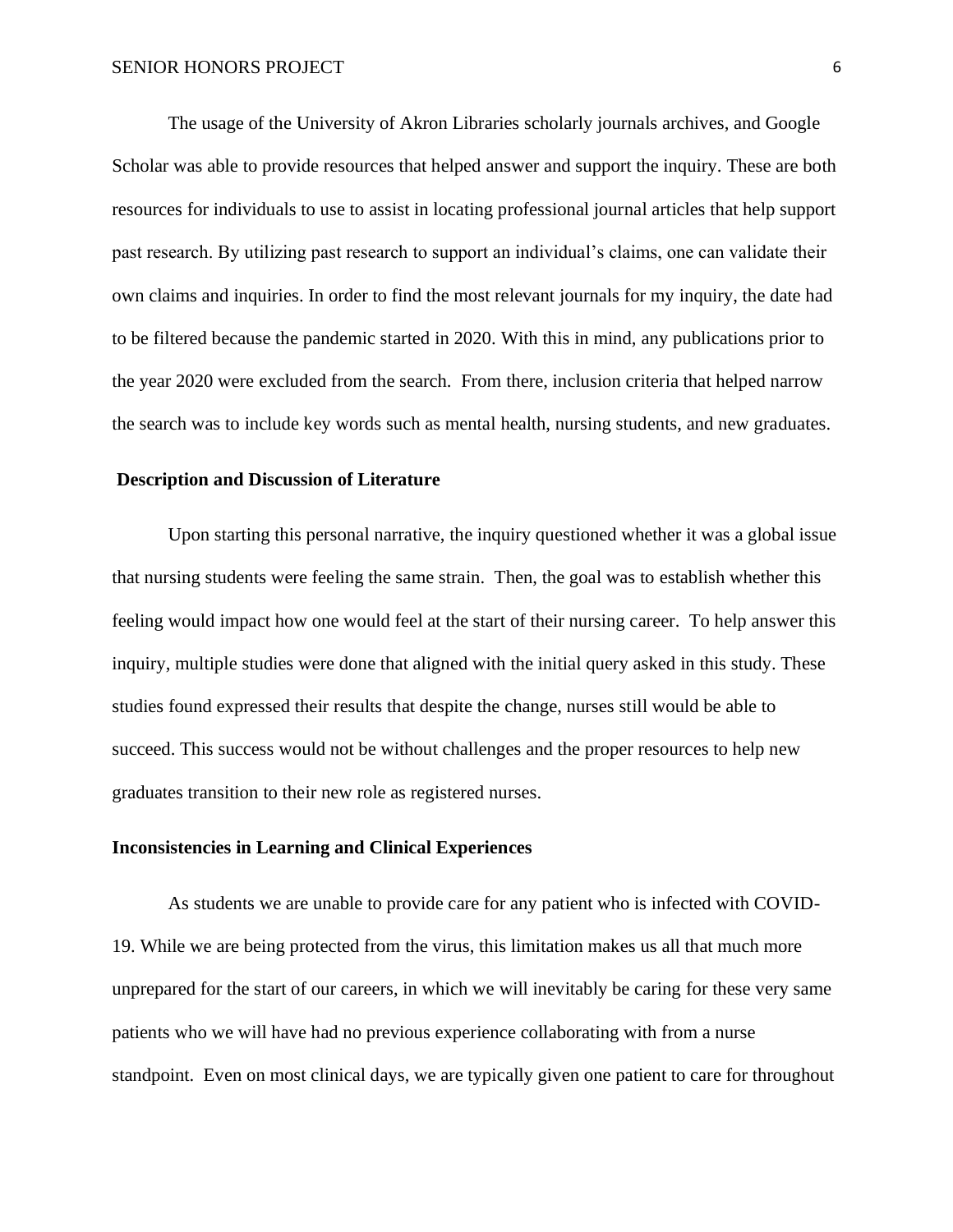The usage of the University of Akron Libraries scholarly journals archives, and Google Scholar was able to provide resources that helped answer and support the inquiry. These are both resources for individuals to use to assist in locating professional journal articles that help support past research. By utilizing past research to support an individual's claims, one can validate their own claims and inquiries. In order to find the most relevant journals for my inquiry, the date had to be filtered because the pandemic started in 2020. With this in mind, any publications prior to the year 2020 were excluded from the search. From there, inclusion criteria that helped narrow the search was to include key words such as mental health, nursing students, and new graduates.

# **Description and Discussion of Literature**

Upon starting this personal narrative, the inquiry questioned whether it was a global issue that nursing students were feeling the same strain. Then, the goal was to establish whether this feeling would impact how one would feel at the start of their nursing career. To help answer this inquiry, multiple studies were done that aligned with the initial query asked in this study. These studies found expressed their results that despite the change, nurses still would be able to succeed. This success would not be without challenges and the proper resources to help new graduates transition to their new role as registered nurses.

### **Inconsistencies in Learning and Clinical Experiences**

As students we are unable to provide care for any patient who is infected with COVID-19. While we are being protected from the virus, this limitation makes us all that much more unprepared for the start of our careers, in which we will inevitably be caring for these very same patients who we will have had no previous experience collaborating with from a nurse standpoint. Even on most clinical days, we are typically given one patient to care for throughout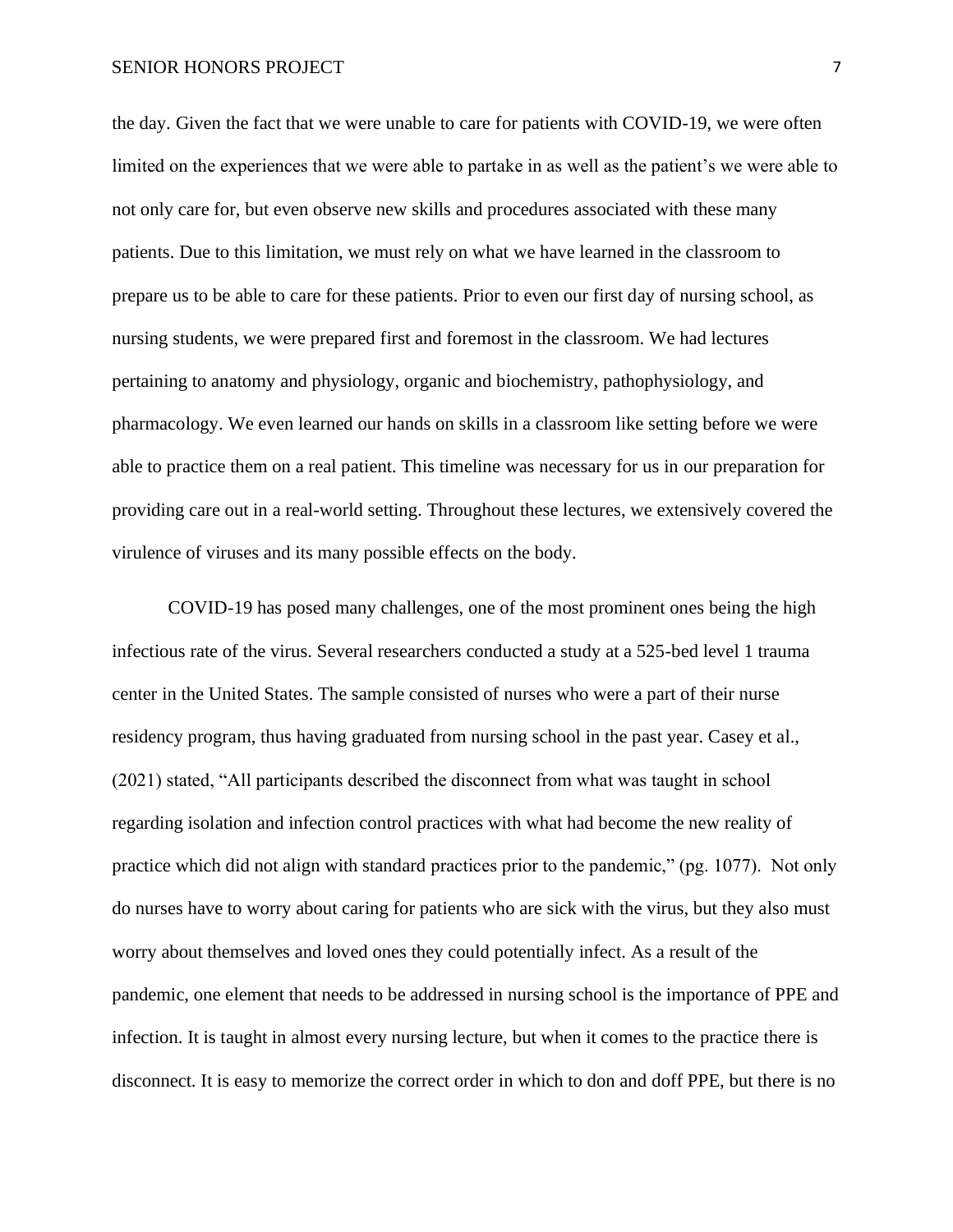#### SENIOR HONORS PROJECT 7 7

the day. Given the fact that we were unable to care for patients with COVID-19, we were often limited on the experiences that we were able to partake in as well as the patient's we were able to not only care for, but even observe new skills and procedures associated with these many patients. Due to this limitation, we must rely on what we have learned in the classroom to prepare us to be able to care for these patients. Prior to even our first day of nursing school, as nursing students, we were prepared first and foremost in the classroom. We had lectures pertaining to anatomy and physiology, organic and biochemistry, pathophysiology, and pharmacology. We even learned our hands on skills in a classroom like setting before we were able to practice them on a real patient. This timeline was necessary for us in our preparation for providing care out in a real-world setting. Throughout these lectures, we extensively covered the virulence of viruses and its many possible effects on the body.

COVID-19 has posed many challenges, one of the most prominent ones being the high infectious rate of the virus. Several researchers conducted a study at a 525-bed level 1 trauma center in the United States. The sample consisted of nurses who were a part of their nurse residency program, thus having graduated from nursing school in the past year. Casey et al., (2021) stated, "All participants described the disconnect from what was taught in school regarding isolation and infection control practices with what had become the new reality of practice which did not align with standard practices prior to the pandemic," (pg. 1077). Not only do nurses have to worry about caring for patients who are sick with the virus, but they also must worry about themselves and loved ones they could potentially infect. As a result of the pandemic, one element that needs to be addressed in nursing school is the importance of PPE and infection. It is taught in almost every nursing lecture, but when it comes to the practice there is disconnect. It is easy to memorize the correct order in which to don and doff PPE, but there is no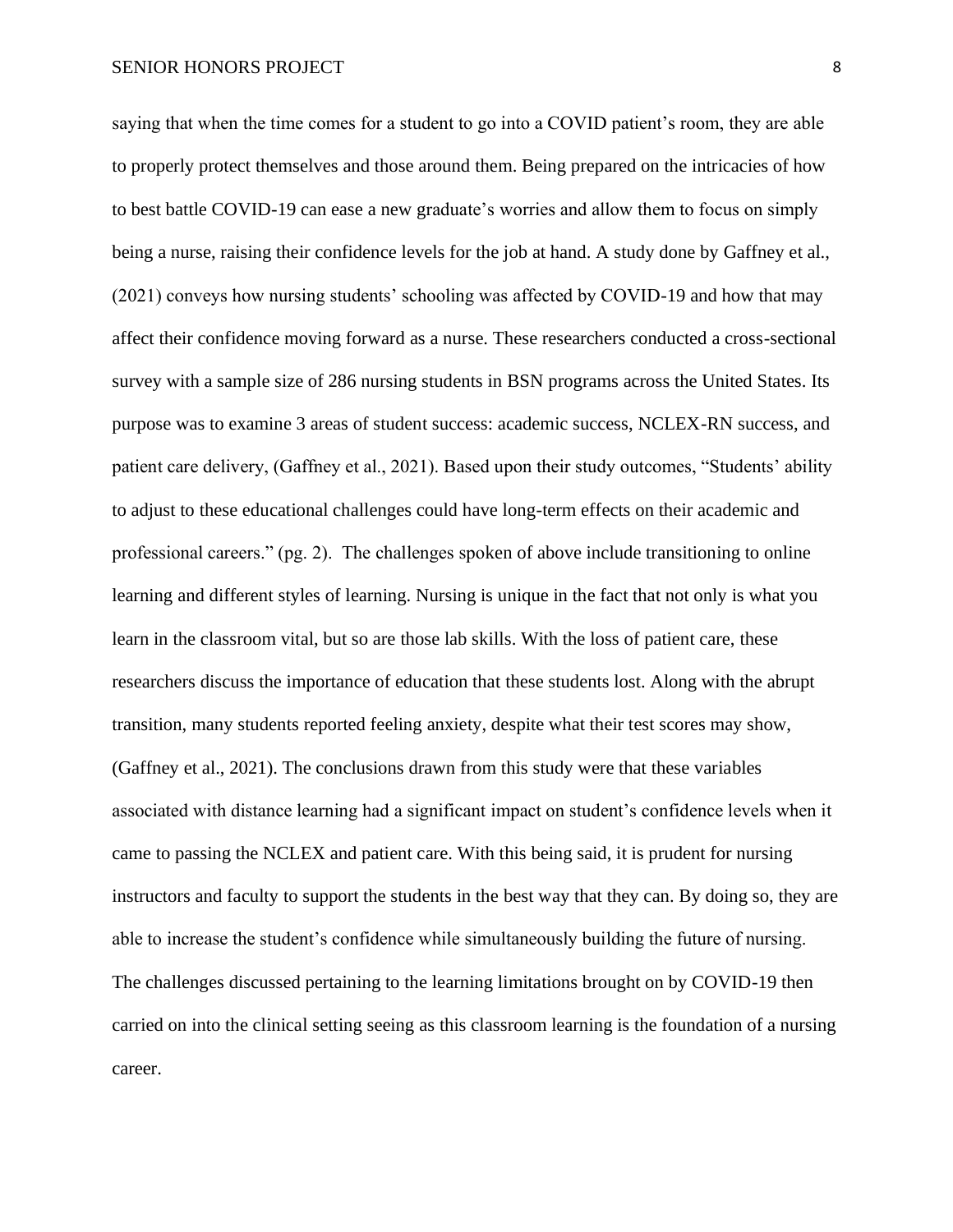saying that when the time comes for a student to go into a COVID patient's room, they are able to properly protect themselves and those around them. Being prepared on the intricacies of how to best battle COVID-19 can ease a new graduate's worries and allow them to focus on simply being a nurse, raising their confidence levels for the job at hand. A study done by Gaffney et al., (2021) conveys how nursing students' schooling was affected by COVID-19 and how that may affect their confidence moving forward as a nurse. These researchers conducted a cross-sectional survey with a sample size of 286 nursing students in BSN programs across the United States. Its purpose was to examine 3 areas of student success: academic success, NCLEX-RN success, and patient care delivery, (Gaffney et al., 2021). Based upon their study outcomes, "Students' ability to adjust to these educational challenges could have long-term effects on their academic and professional careers." (pg. 2). The challenges spoken of above include transitioning to online learning and different styles of learning. Nursing is unique in the fact that not only is what you learn in the classroom vital, but so are those lab skills. With the loss of patient care, these researchers discuss the importance of education that these students lost. Along with the abrupt transition, many students reported feeling anxiety, despite what their test scores may show, (Gaffney et al., 2021). The conclusions drawn from this study were that these variables associated with distance learning had a significant impact on student's confidence levels when it came to passing the NCLEX and patient care. With this being said, it is prudent for nursing instructors and faculty to support the students in the best way that they can. By doing so, they are able to increase the student's confidence while simultaneously building the future of nursing. The challenges discussed pertaining to the learning limitations brought on by COVID-19 then carried on into the clinical setting seeing as this classroom learning is the foundation of a nursing career.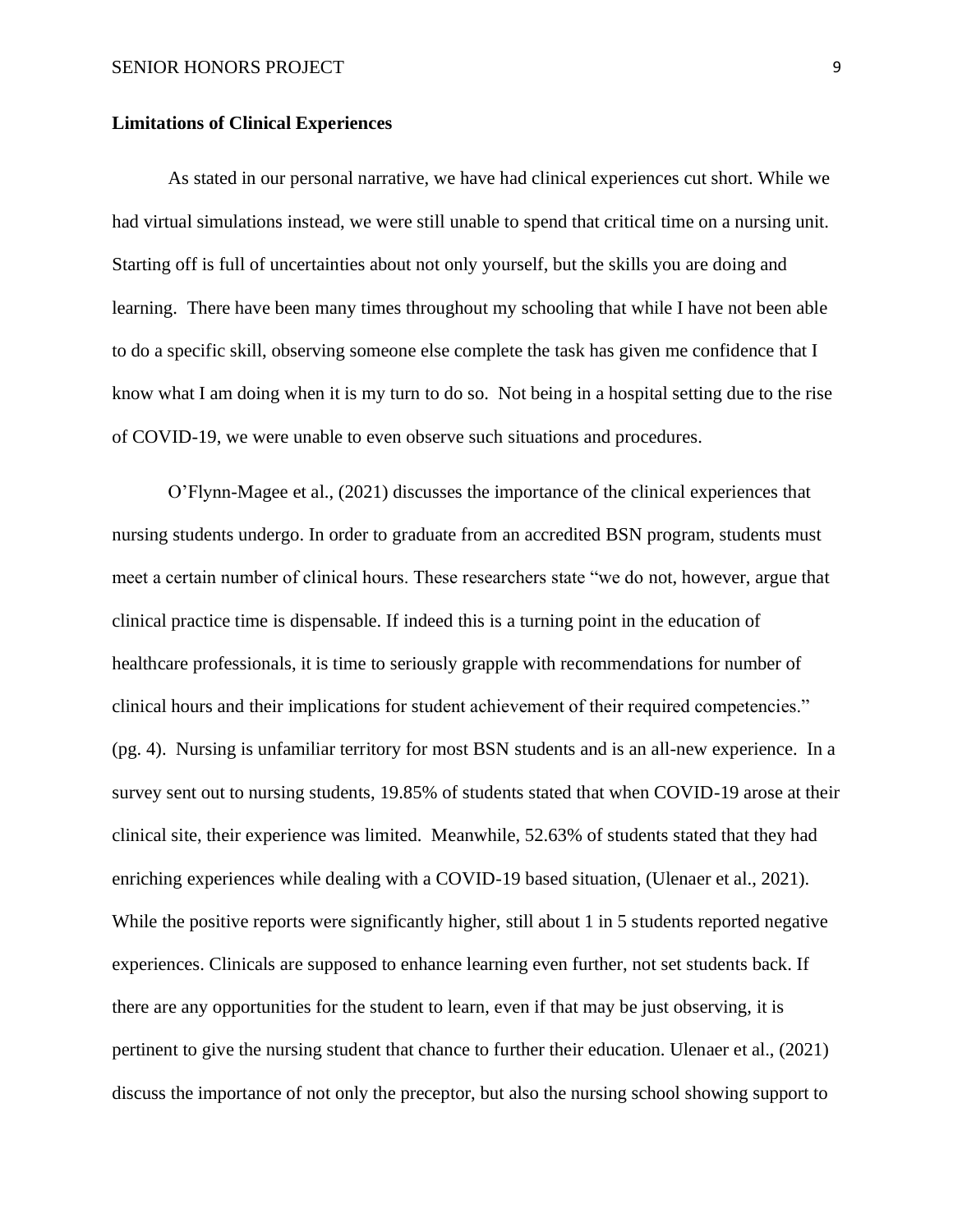#### **Limitations of Clinical Experiences**

As stated in our personal narrative, we have had clinical experiences cut short. While we had virtual simulations instead, we were still unable to spend that critical time on a nursing unit. Starting off is full of uncertainties about not only yourself, but the skills you are doing and learning. There have been many times throughout my schooling that while I have not been able to do a specific skill, observing someone else complete the task has given me confidence that I know what I am doing when it is my turn to do so. Not being in a hospital setting due to the rise of COVID-19, we were unable to even observe such situations and procedures.

O'Flynn-Magee et al., (2021) discusses the importance of the clinical experiences that nursing students undergo. In order to graduate from an accredited BSN program, students must meet a certain number of clinical hours. These researchers state "we do not, however, argue that clinical practice time is dispensable. If indeed this is a turning point in the education of healthcare professionals, it is time to seriously grapple with recommendations for number of clinical hours and their implications for student achievement of their required competencies." (pg. 4). Nursing is unfamiliar territory for most BSN students and is an all-new experience. In a survey sent out to nursing students, 19.85% of students stated that when COVID-19 arose at their clinical site, their experience was limited. Meanwhile, 52.63% of students stated that they had enriching experiences while dealing with a COVID-19 based situation, (Ulenaer et al., 2021). While the positive reports were significantly higher, still about 1 in 5 students reported negative experiences. Clinicals are supposed to enhance learning even further, not set students back. If there are any opportunities for the student to learn, even if that may be just observing, it is pertinent to give the nursing student that chance to further their education. Ulenaer et al., (2021) discuss the importance of not only the preceptor, but also the nursing school showing support to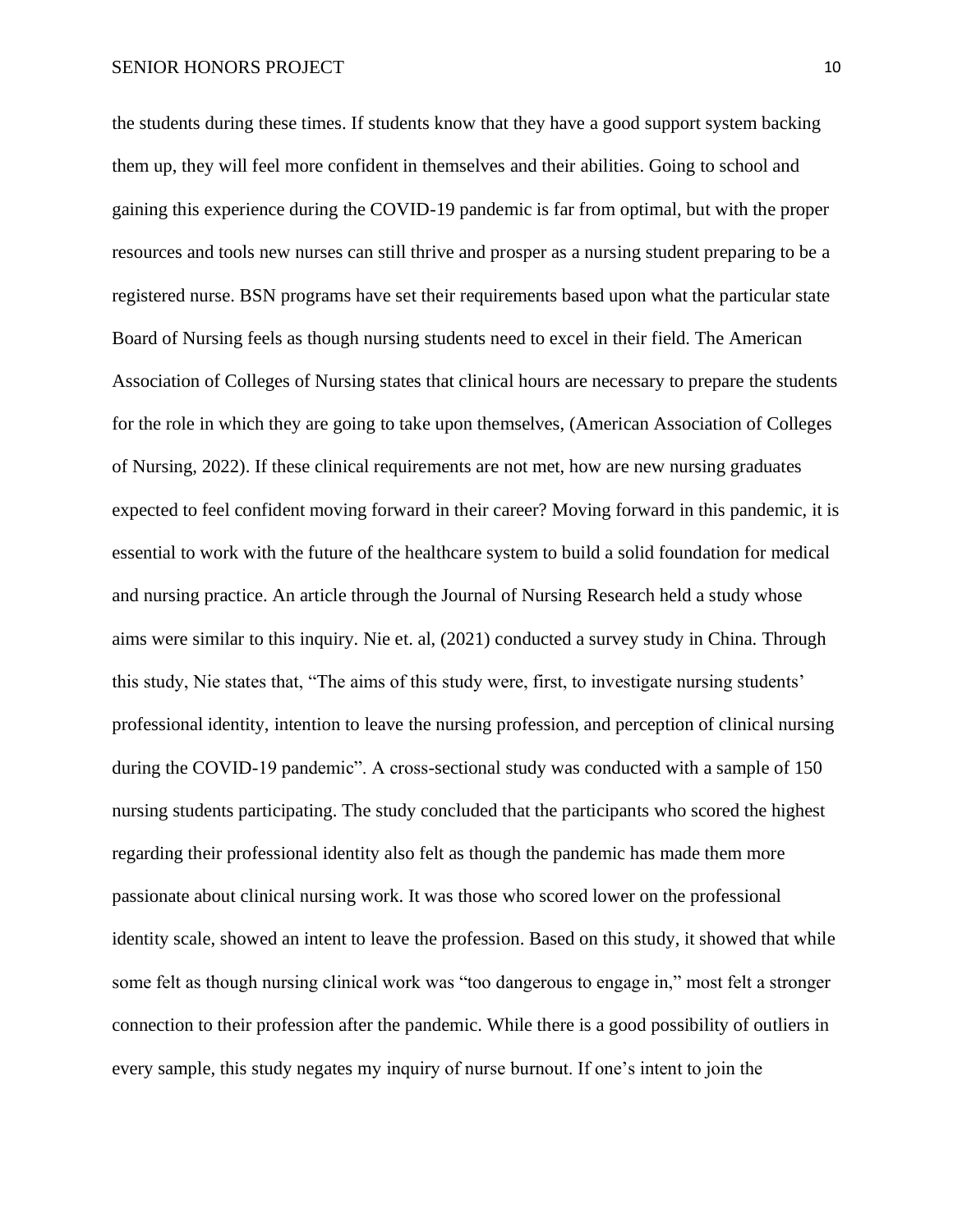the students during these times. If students know that they have a good support system backing them up, they will feel more confident in themselves and their abilities. Going to school and gaining this experience during the COVID-19 pandemic is far from optimal, but with the proper resources and tools new nurses can still thrive and prosper as a nursing student preparing to be a registered nurse. BSN programs have set their requirements based upon what the particular state Board of Nursing feels as though nursing students need to excel in their field. The American Association of Colleges of Nursing states that clinical hours are necessary to prepare the students for the role in which they are going to take upon themselves, (American Association of Colleges of Nursing, 2022). If these clinical requirements are not met, how are new nursing graduates expected to feel confident moving forward in their career? Moving forward in this pandemic, it is essential to work with the future of the healthcare system to build a solid foundation for medical and nursing practice. An article through the Journal of Nursing Research held a study whose aims were similar to this inquiry*.* Nie et. al, (2021) conducted a survey study in China. Through this study, Nie states that, "The aims of this study were, first, to investigate nursing students' professional identity, intention to leave the nursing profession, and perception of clinical nursing during the COVID-19 pandemic". A cross-sectional study was conducted with a sample of 150 nursing students participating. The study concluded that the participants who scored the highest regarding their professional identity also felt as though the pandemic has made them more passionate about clinical nursing work. It was those who scored lower on the professional identity scale, showed an intent to leave the profession. Based on this study, it showed that while some felt as though nursing clinical work was "too dangerous to engage in," most felt a stronger connection to their profession after the pandemic. While there is a good possibility of outliers in every sample, this study negates my inquiry of nurse burnout. If one's intent to join the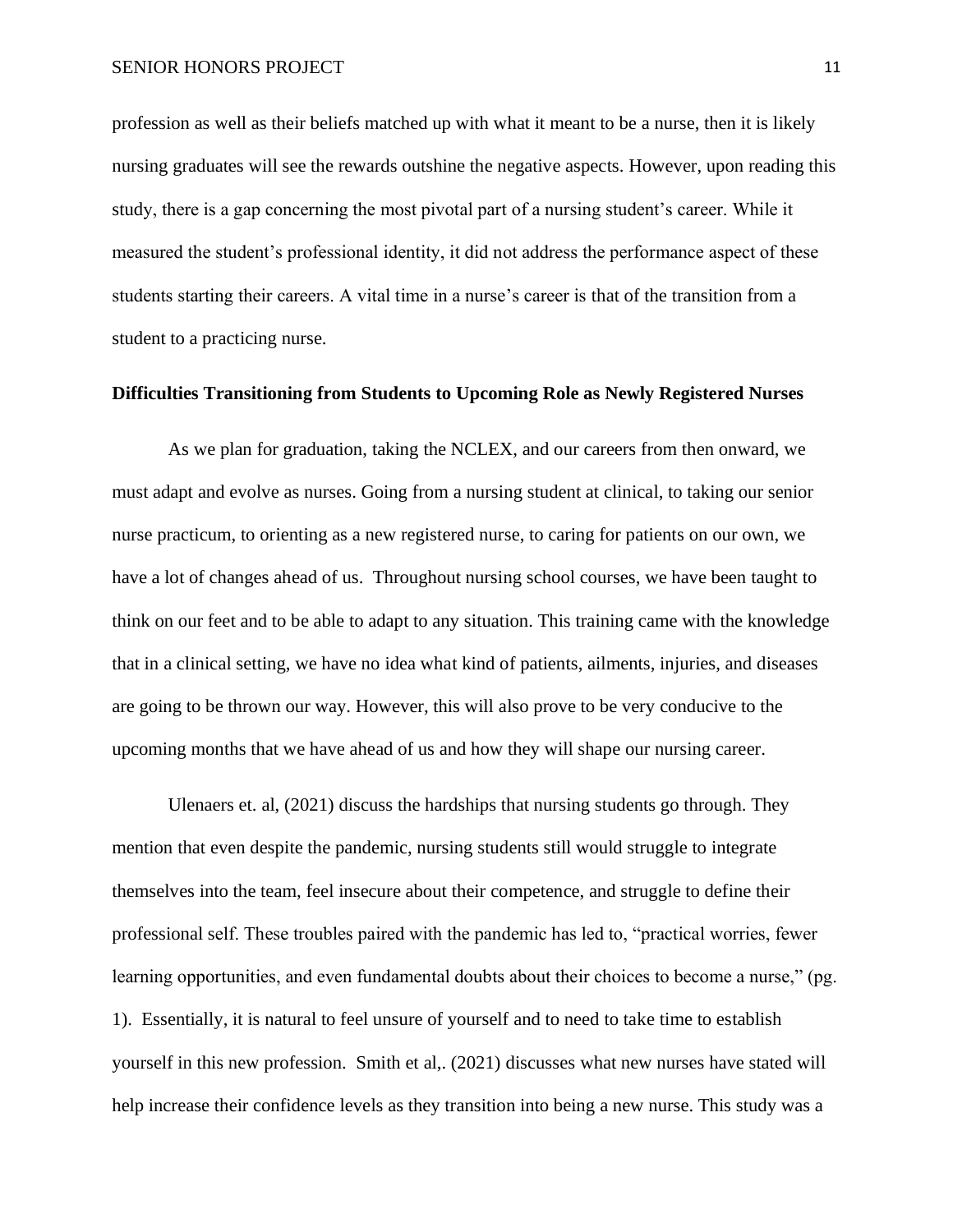profession as well as their beliefs matched up with what it meant to be a nurse, then it is likely nursing graduates will see the rewards outshine the negative aspects. However, upon reading this study, there is a gap concerning the most pivotal part of a nursing student's career. While it measured the student's professional identity, it did not address the performance aspect of these students starting their careers. A vital time in a nurse's career is that of the transition from a student to a practicing nurse.

#### **Difficulties Transitioning from Students to Upcoming Role as Newly Registered Nurses**

As we plan for graduation, taking the NCLEX, and our careers from then onward, we must adapt and evolve as nurses. Going from a nursing student at clinical, to taking our senior nurse practicum, to orienting as a new registered nurse, to caring for patients on our own, we have a lot of changes ahead of us. Throughout nursing school courses, we have been taught to think on our feet and to be able to adapt to any situation. This training came with the knowledge that in a clinical setting, we have no idea what kind of patients, ailments, injuries, and diseases are going to be thrown our way. However, this will also prove to be very conducive to the upcoming months that we have ahead of us and how they will shape our nursing career.

Ulenaers et. al, (2021) discuss the hardships that nursing students go through. They mention that even despite the pandemic, nursing students still would struggle to integrate themselves into the team, feel insecure about their competence, and struggle to define their professional self. These troubles paired with the pandemic has led to, "practical worries, fewer learning opportunities, and even fundamental doubts about their choices to become a nurse," (pg. 1). Essentially, it is natural to feel unsure of yourself and to need to take time to establish yourself in this new profession. Smith et al,. (2021) discusses what new nurses have stated will help increase their confidence levels as they transition into being a new nurse. This study was a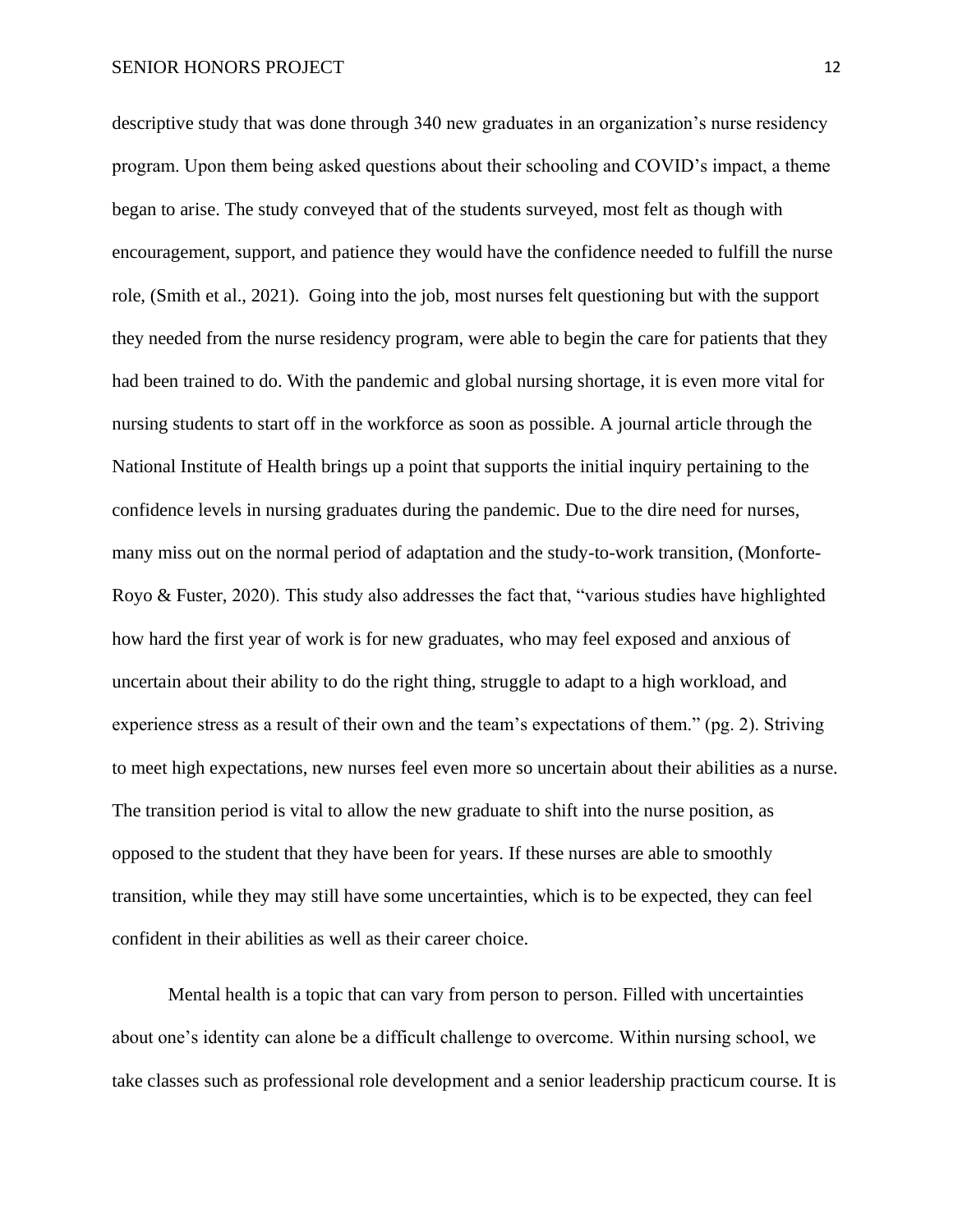descriptive study that was done through 340 new graduates in an organization's nurse residency program. Upon them being asked questions about their schooling and COVID's impact, a theme began to arise. The study conveyed that of the students surveyed, most felt as though with encouragement, support, and patience they would have the confidence needed to fulfill the nurse role, (Smith et al., 2021). Going into the job, most nurses felt questioning but with the support they needed from the nurse residency program, were able to begin the care for patients that they had been trained to do. With the pandemic and global nursing shortage, it is even more vital for nursing students to start off in the workforce as soon as possible. A journal article through the National Institute of Health brings up a point that supports the initial inquiry pertaining to the confidence levels in nursing graduates during the pandemic. Due to the dire need for nurses, many miss out on the normal period of adaptation and the study-to-work transition, (Monforte-Royo & Fuster, 2020). This study also addresses the fact that, "various studies have highlighted how hard the first year of work is for new graduates, who may feel exposed and anxious of uncertain about their ability to do the right thing, struggle to adapt to a high workload, and experience stress as a result of their own and the team's expectations of them." (pg. 2). Striving to meet high expectations, new nurses feel even more so uncertain about their abilities as a nurse. The transition period is vital to allow the new graduate to shift into the nurse position, as opposed to the student that they have been for years. If these nurses are able to smoothly transition, while they may still have some uncertainties, which is to be expected, they can feel confident in their abilities as well as their career choice.

Mental health is a topic that can vary from person to person. Filled with uncertainties about one's identity can alone be a difficult challenge to overcome. Within nursing school, we take classes such as professional role development and a senior leadership practicum course. It is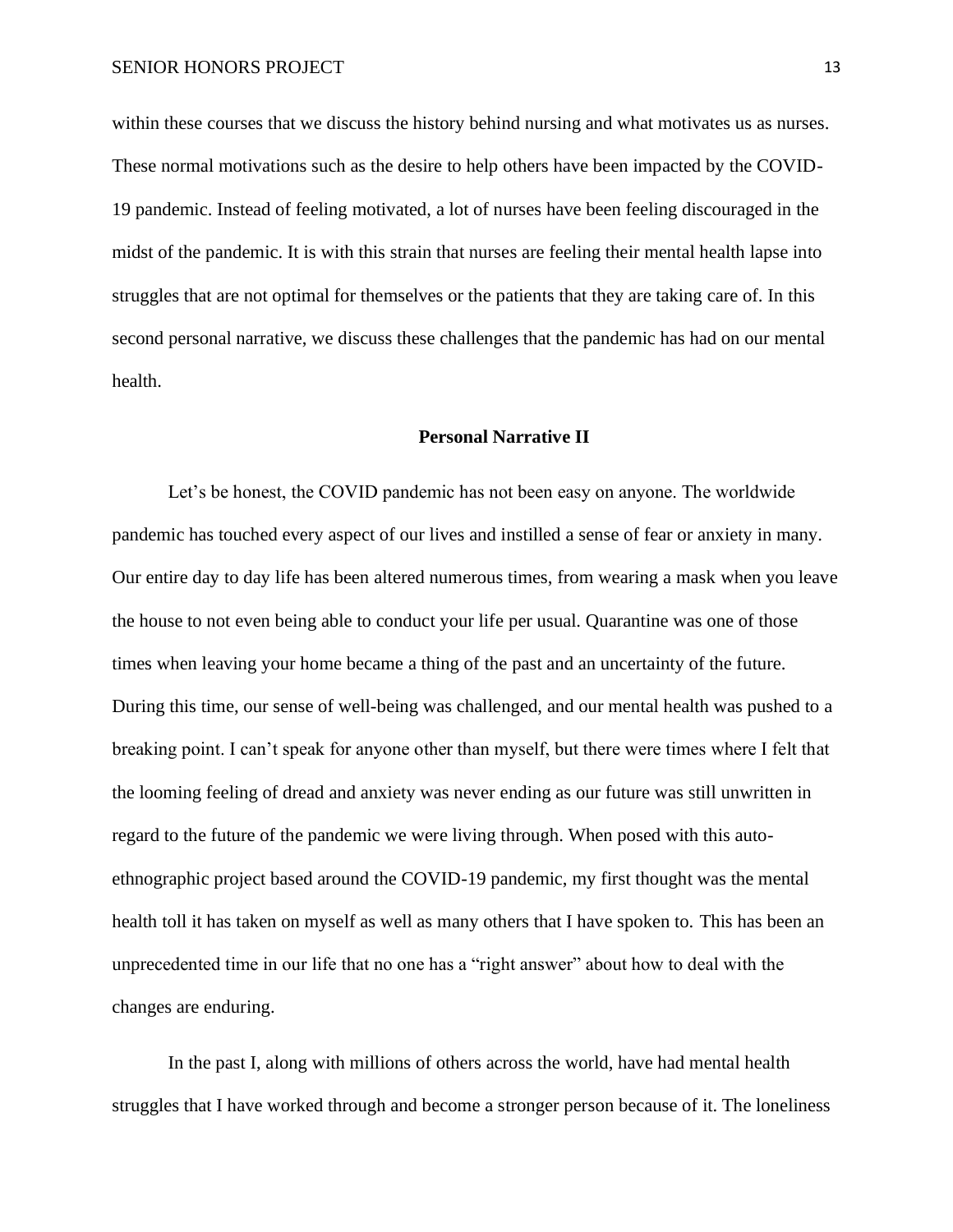within these courses that we discuss the history behind nursing and what motivates us as nurses. These normal motivations such as the desire to help others have been impacted by the COVID-19 pandemic. Instead of feeling motivated, a lot of nurses have been feeling discouraged in the midst of the pandemic. It is with this strain that nurses are feeling their mental health lapse into struggles that are not optimal for themselves or the patients that they are taking care of. In this second personal narrative, we discuss these challenges that the pandemic has had on our mental health.

#### **Personal Narrative II**

Let's be honest, the COVID pandemic has not been easy on anyone. The worldwide pandemic has touched every aspect of our lives and instilled a sense of fear or anxiety in many. Our entire day to day life has been altered numerous times, from wearing a mask when you leave the house to not even being able to conduct your life per usual. Quarantine was one of those times when leaving your home became a thing of the past and an uncertainty of the future. During this time, our sense of well-being was challenged, and our mental health was pushed to a breaking point. I can't speak for anyone other than myself, but there were times where I felt that the looming feeling of dread and anxiety was never ending as our future was still unwritten in regard to the future of the pandemic we were living through. When posed with this autoethnographic project based around the COVID-19 pandemic, my first thought was the mental health toll it has taken on myself as well as many others that I have spoken to. This has been an unprecedented time in our life that no one has a "right answer" about how to deal with the changes are enduring.

In the past I, along with millions of others across the world, have had mental health struggles that I have worked through and become a stronger person because of it. The loneliness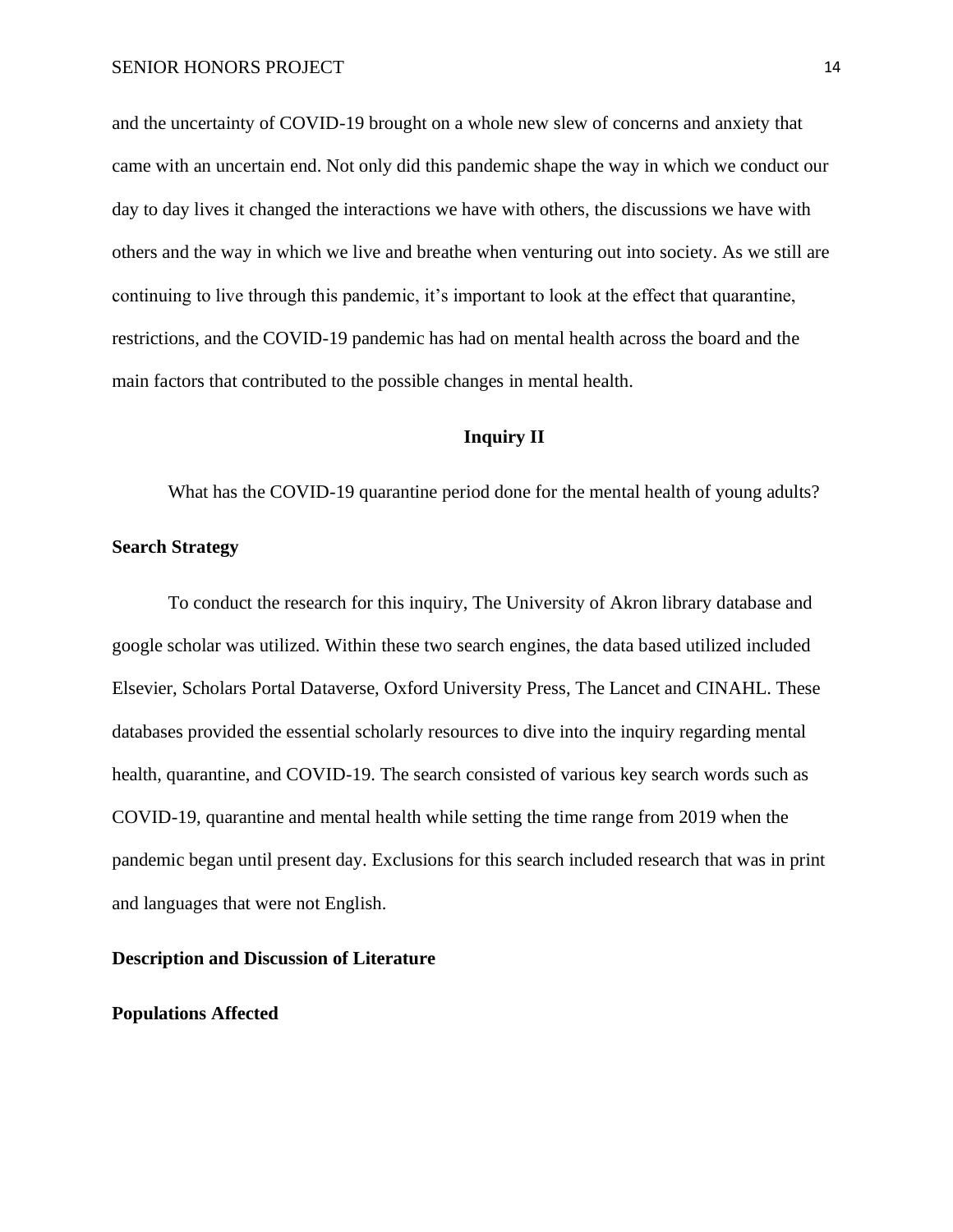and the uncertainty of COVID-19 brought on a whole new slew of concerns and anxiety that came with an uncertain end. Not only did this pandemic shape the way in which we conduct our day to day lives it changed the interactions we have with others, the discussions we have with others and the way in which we live and breathe when venturing out into society. As we still are continuing to live through this pandemic, it's important to look at the effect that quarantine, restrictions, and the COVID-19 pandemic has had on mental health across the board and the main factors that contributed to the possible changes in mental health.

# **Inquiry II**

What has the COVID-19 quarantine period done for the mental health of young adults?

# **Search Strategy**

To conduct the research for this inquiry, The University of Akron library database and google scholar was utilized. Within these two search engines, the data based utilized included Elsevier, Scholars Portal Dataverse, Oxford University Press, The Lancet and CINAHL. These databases provided the essential scholarly resources to dive into the inquiry regarding mental health, quarantine, and COVID-19. The search consisted of various key search words such as COVID-19, quarantine and mental health while setting the time range from 2019 when the pandemic began until present day. Exclusions for this search included research that was in print and languages that were not English.

# **Description and Discussion of Literature**

#### **Populations Affected**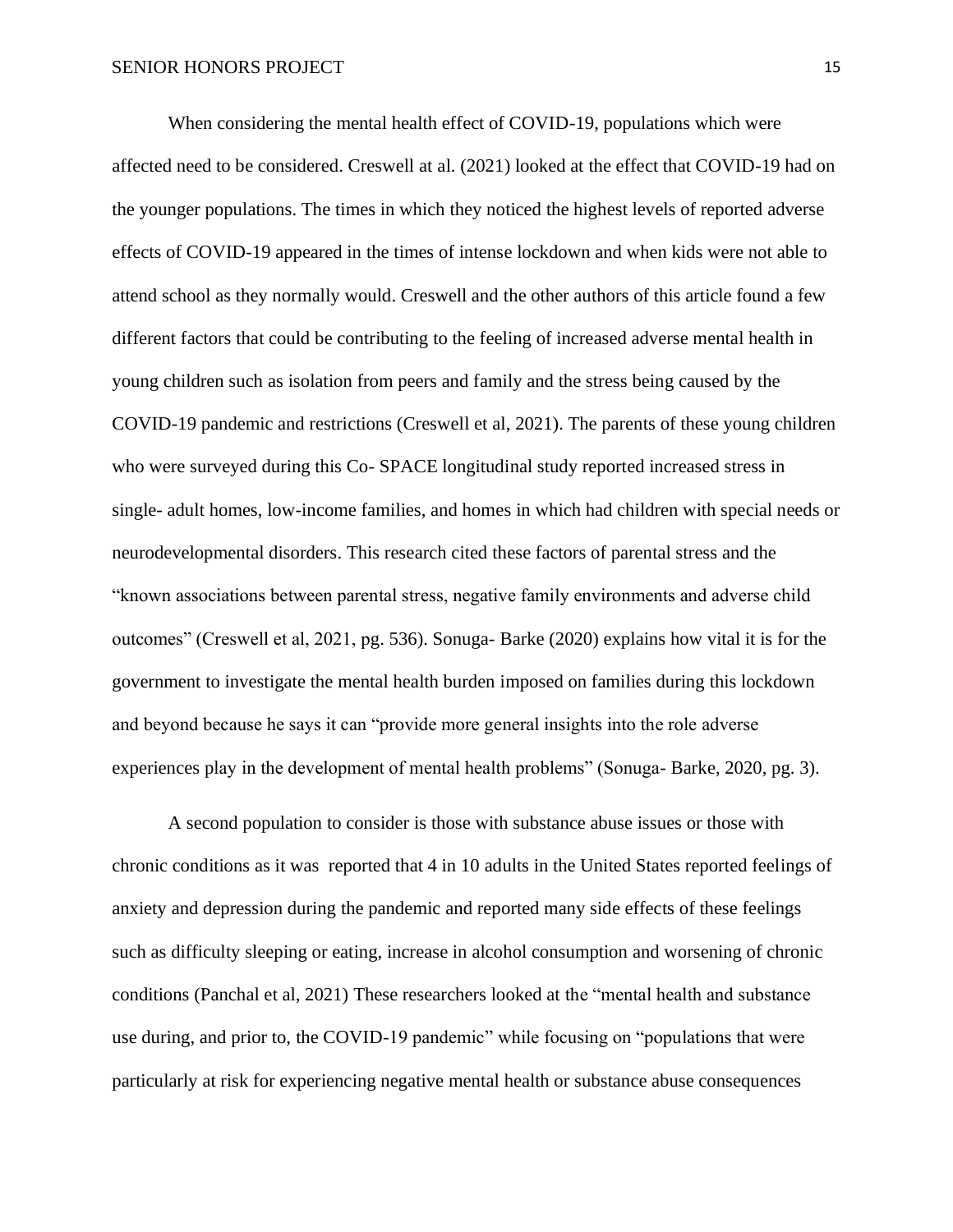When considering the mental health effect of COVID-19, populations which were affected need to be considered. Creswell at al. (2021) looked at the effect that COVID-19 had on the younger populations. The times in which they noticed the highest levels of reported adverse effects of COVID-19 appeared in the times of intense lockdown and when kids were not able to attend school as they normally would. Creswell and the other authors of this article found a few different factors that could be contributing to the feeling of increased adverse mental health in young children such as isolation from peers and family and the stress being caused by the COVID-19 pandemic and restrictions (Creswell et al, 2021). The parents of these young children who were surveyed during this Co- SPACE longitudinal study reported increased stress in single- adult homes, low-income families, and homes in which had children with special needs or neurodevelopmental disorders. This research cited these factors of parental stress and the "known associations between parental stress, negative family environments and adverse child outcomes" (Creswell et al, 2021, pg. 536). Sonuga- Barke (2020) explains how vital it is for the government to investigate the mental health burden imposed on families during this lockdown and beyond because he says it can "provide more general insights into the role adverse experiences play in the development of mental health problems" (Sonuga- Barke, 2020, pg. 3).

A second population to consider is those with substance abuse issues or those with chronic conditions as it was reported that 4 in 10 adults in the United States reported feelings of anxiety and depression during the pandemic and reported many side effects of these feelings such as difficulty sleeping or eating, increase in alcohol consumption and worsening of chronic conditions (Panchal et al, 2021) These researchers looked at the "mental health and substance use during, and prior to, the COVID-19 pandemic" while focusing on "populations that were particularly at risk for experiencing negative mental health or substance abuse consequences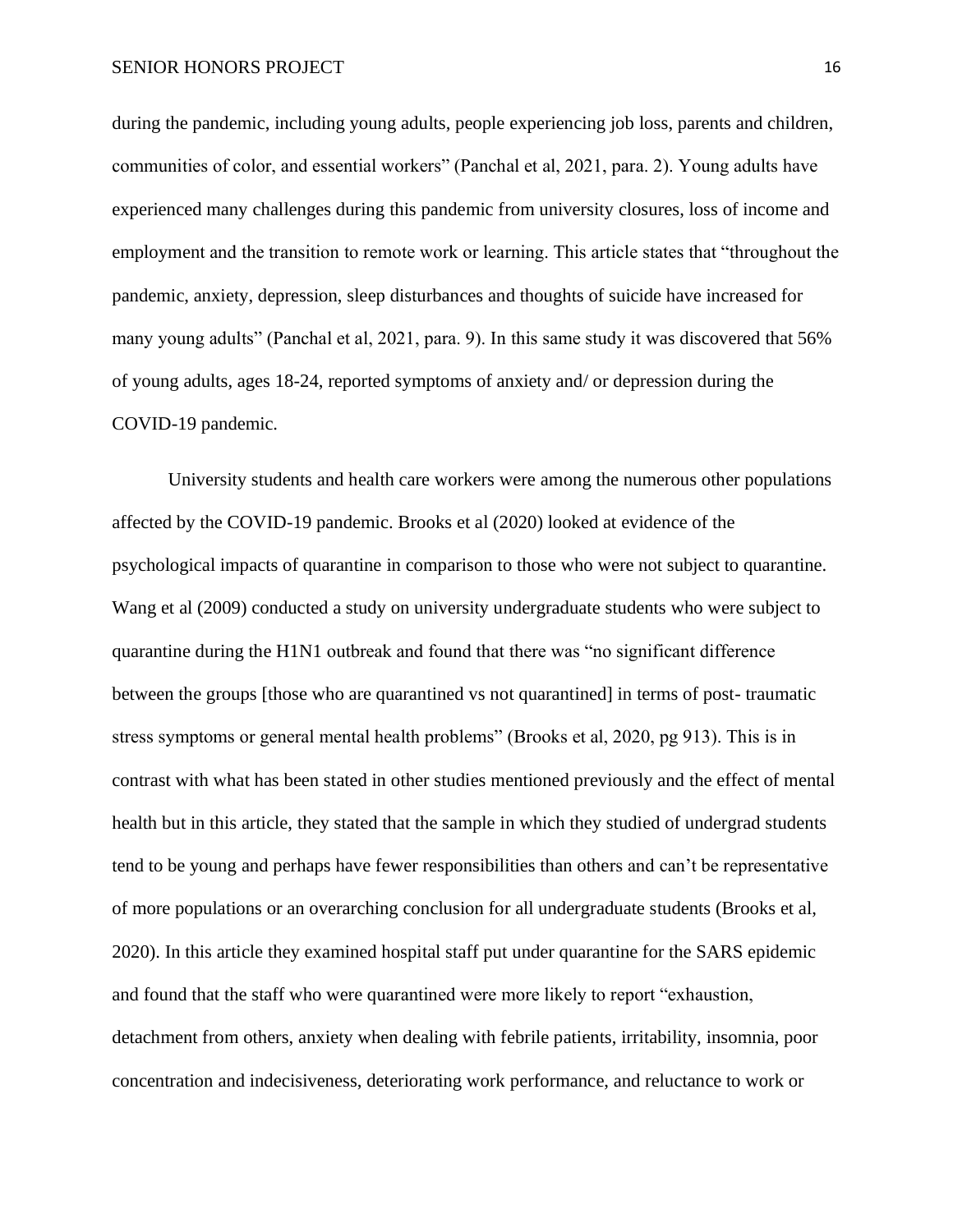during the pandemic, including young adults, people experiencing job loss, parents and children, communities of color, and essential workers" (Panchal et al, 2021, para. 2). Young adults have experienced many challenges during this pandemic from university closures, loss of income and employment and the transition to remote work or learning. This article states that "throughout the pandemic, anxiety, depression, sleep disturbances and thoughts of suicide have increased for many young adults" (Panchal et al, 2021, para. 9). In this same study it was discovered that 56% of young adults, ages 18-24, reported symptoms of anxiety and/ or depression during the COVID-19 pandemic.

University students and health care workers were among the numerous other populations affected by the COVID-19 pandemic. Brooks et al (2020) looked at evidence of the psychological impacts of quarantine in comparison to those who were not subject to quarantine. Wang et al (2009) conducted a study on university undergraduate students who were subject to quarantine during the H1N1 outbreak and found that there was "no significant difference between the groups [those who are quarantined vs not quarantined] in terms of post- traumatic stress symptoms or general mental health problems" (Brooks et al, 2020, pg 913). This is in contrast with what has been stated in other studies mentioned previously and the effect of mental health but in this article, they stated that the sample in which they studied of undergrad students tend to be young and perhaps have fewer responsibilities than others and can't be representative of more populations or an overarching conclusion for all undergraduate students (Brooks et al, 2020). In this article they examined hospital staff put under quarantine for the SARS epidemic and found that the staff who were quarantined were more likely to report "exhaustion, detachment from others, anxiety when dealing with febrile patients, irritability, insomnia, poor concentration and indecisiveness, deteriorating work performance, and reluctance to work or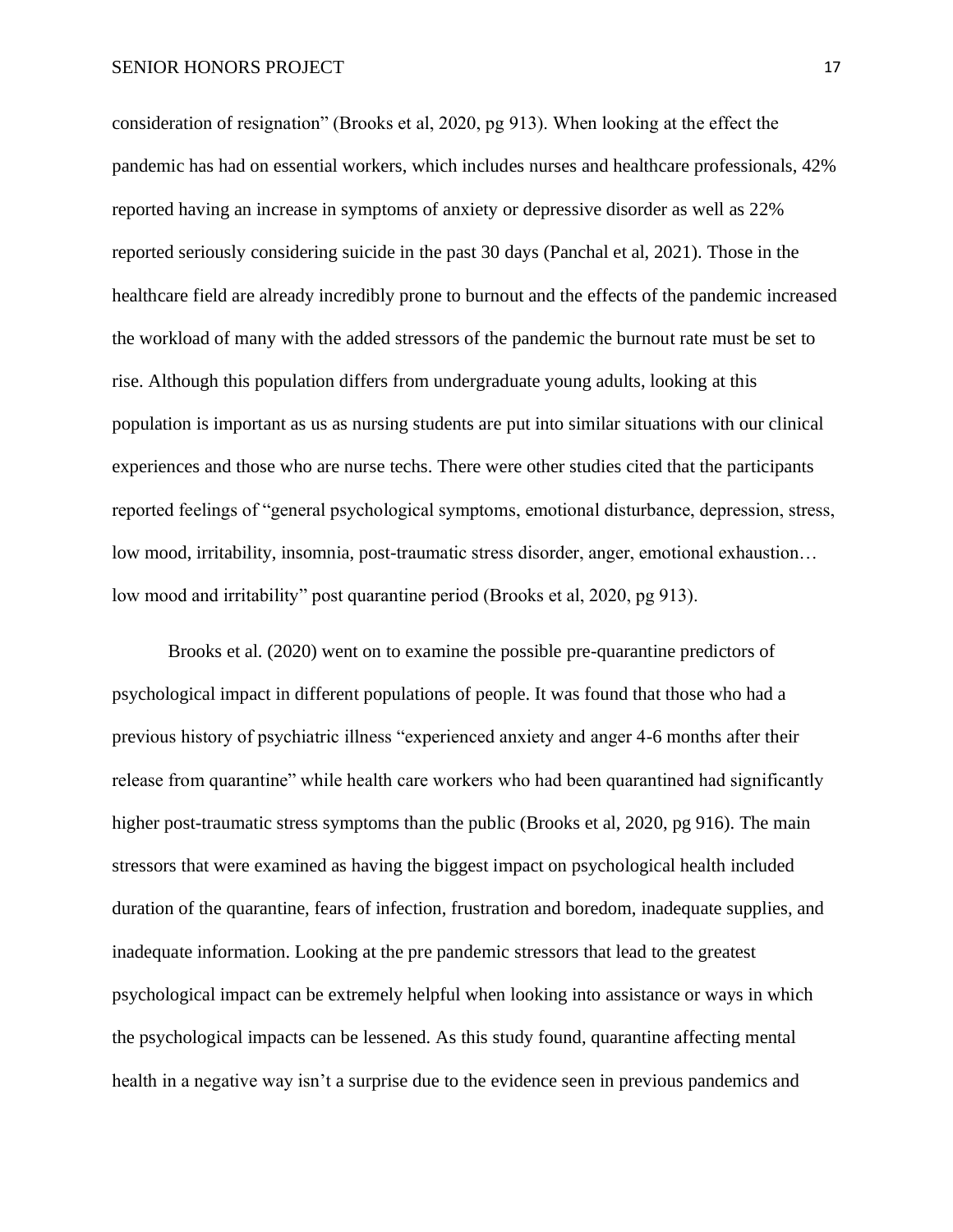consideration of resignation" (Brooks et al, 2020, pg 913). When looking at the effect the pandemic has had on essential workers, which includes nurses and healthcare professionals, 42% reported having an increase in symptoms of anxiety or depressive disorder as well as 22% reported seriously considering suicide in the past 30 days (Panchal et al, 2021). Those in the healthcare field are already incredibly prone to burnout and the effects of the pandemic increased the workload of many with the added stressors of the pandemic the burnout rate must be set to rise. Although this population differs from undergraduate young adults, looking at this population is important as us as nursing students are put into similar situations with our clinical experiences and those who are nurse techs. There were other studies cited that the participants reported feelings of "general psychological symptoms, emotional disturbance, depression, stress, low mood, irritability, insomnia, post-traumatic stress disorder, anger, emotional exhaustion… low mood and irritability" post quarantine period (Brooks et al, 2020, pg 913).

Brooks et al. (2020) went on to examine the possible pre-quarantine predictors of psychological impact in different populations of people. It was found that those who had a previous history of psychiatric illness "experienced anxiety and anger 4-6 months after their release from quarantine" while health care workers who had been quarantined had significantly higher post-traumatic stress symptoms than the public (Brooks et al, 2020, pg 916). The main stressors that were examined as having the biggest impact on psychological health included duration of the quarantine, fears of infection, frustration and boredom, inadequate supplies, and inadequate information. Looking at the pre pandemic stressors that lead to the greatest psychological impact can be extremely helpful when looking into assistance or ways in which the psychological impacts can be lessened. As this study found, quarantine affecting mental health in a negative way isn't a surprise due to the evidence seen in previous pandemics and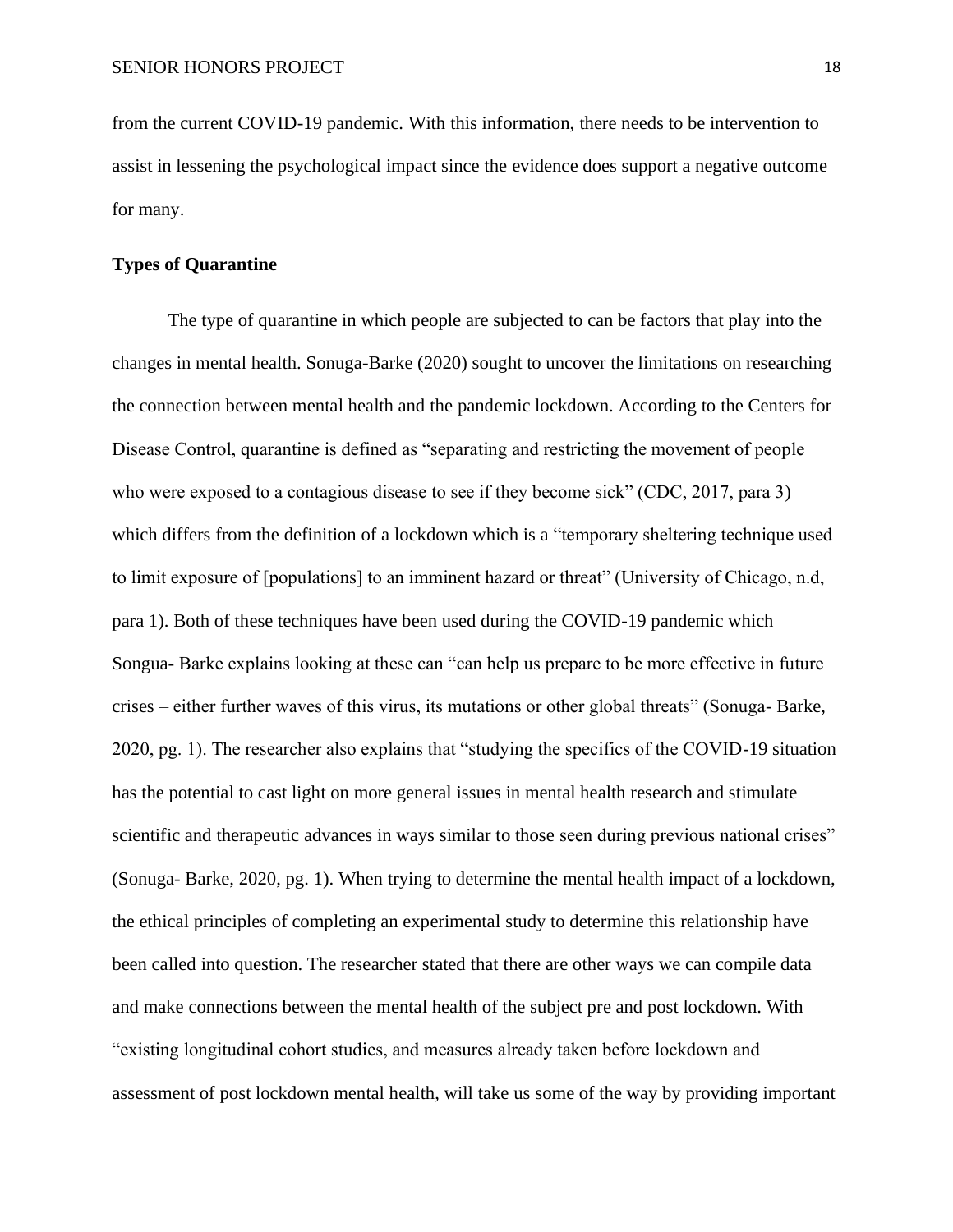from the current COVID-19 pandemic. With this information, there needs to be intervention to assist in lessening the psychological impact since the evidence does support a negative outcome for many.

#### **Types of Quarantine**

The type of quarantine in which people are subjected to can be factors that play into the changes in mental health. Sonuga-Barke (2020) sought to uncover the limitations on researching the connection between mental health and the pandemic lockdown. According to the Centers for Disease Control, quarantine is defined as "separating and restricting the movement of people who were exposed to a contagious disease to see if they become sick" (CDC, 2017, para 3) which differs from the definition of a lockdown which is a "temporary sheltering technique used to limit exposure of [populations] to an imminent hazard or threat" (University of Chicago, n.d, para 1). Both of these techniques have been used during the COVID-19 pandemic which Songua- Barke explains looking at these can "can help us prepare to be more effective in future crises – either further waves of this virus, its mutations or other global threats" (Sonuga- Barke, 2020, pg. 1). The researcher also explains that "studying the specifics of the COVID-19 situation has the potential to cast light on more general issues in mental health research and stimulate scientific and therapeutic advances in ways similar to those seen during previous national crises" (Sonuga- Barke, 2020, pg. 1). When trying to determine the mental health impact of a lockdown, the ethical principles of completing an experimental study to determine this relationship have been called into question. The researcher stated that there are other ways we can compile data and make connections between the mental health of the subject pre and post lockdown. With "existing longitudinal cohort studies, and measures already taken before lockdown and assessment of post lockdown mental health, will take us some of the way by providing important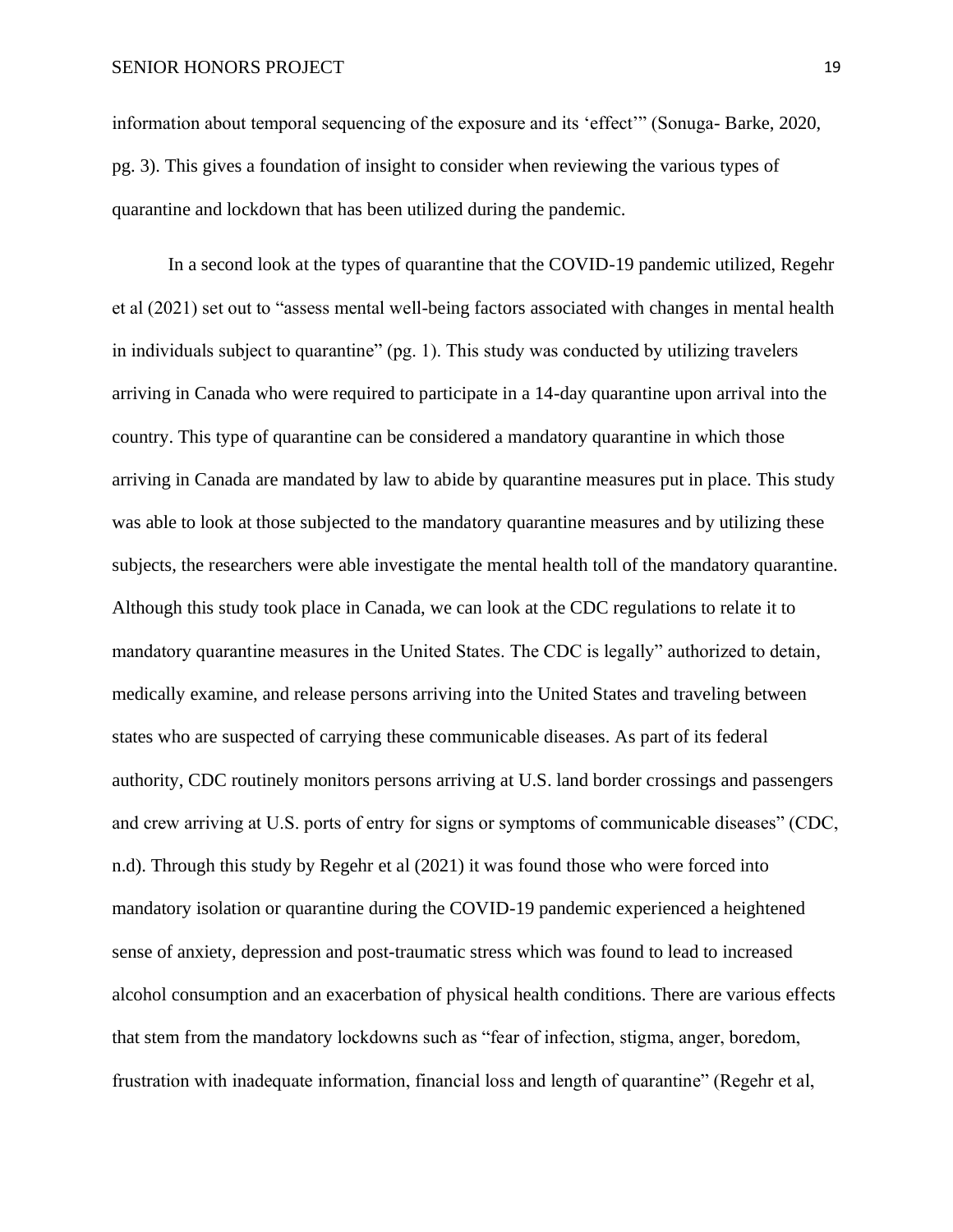information about temporal sequencing of the exposure and its 'effect'" (Sonuga- Barke, 2020, pg. 3). This gives a foundation of insight to consider when reviewing the various types of quarantine and lockdown that has been utilized during the pandemic.

In a second look at the types of quarantine that the COVID-19 pandemic utilized, Regehr et al (2021) set out to "assess mental well-being factors associated with changes in mental health in individuals subject to quarantine" (pg. 1). This study was conducted by utilizing travelers arriving in Canada who were required to participate in a 14-day quarantine upon arrival into the country. This type of quarantine can be considered a mandatory quarantine in which those arriving in Canada are mandated by law to abide by quarantine measures put in place. This study was able to look at those subjected to the mandatory quarantine measures and by utilizing these subjects, the researchers were able investigate the mental health toll of the mandatory quarantine. Although this study took place in Canada, we can look at the CDC regulations to relate it to mandatory quarantine measures in the United States. The CDC is legally" authorized to detain, medically examine, and release persons arriving into the United States and traveling between states who are suspected of carrying these communicable diseases. As part of its federal authority, CDC routinely monitors persons arriving at U.S. land border crossings and passengers and crew arriving at U.S. ports of entry for signs or symptoms of communicable diseases" (CDC, n.d). Through this study by Regehr et al (2021) it was found those who were forced into mandatory isolation or quarantine during the COVID-19 pandemic experienced a heightened sense of anxiety, depression and post-traumatic stress which was found to lead to increased alcohol consumption and an exacerbation of physical health conditions. There are various effects that stem from the mandatory lockdowns such as "fear of infection, stigma, anger, boredom, frustration with inadequate information, financial loss and length of quarantine" (Regehr et al,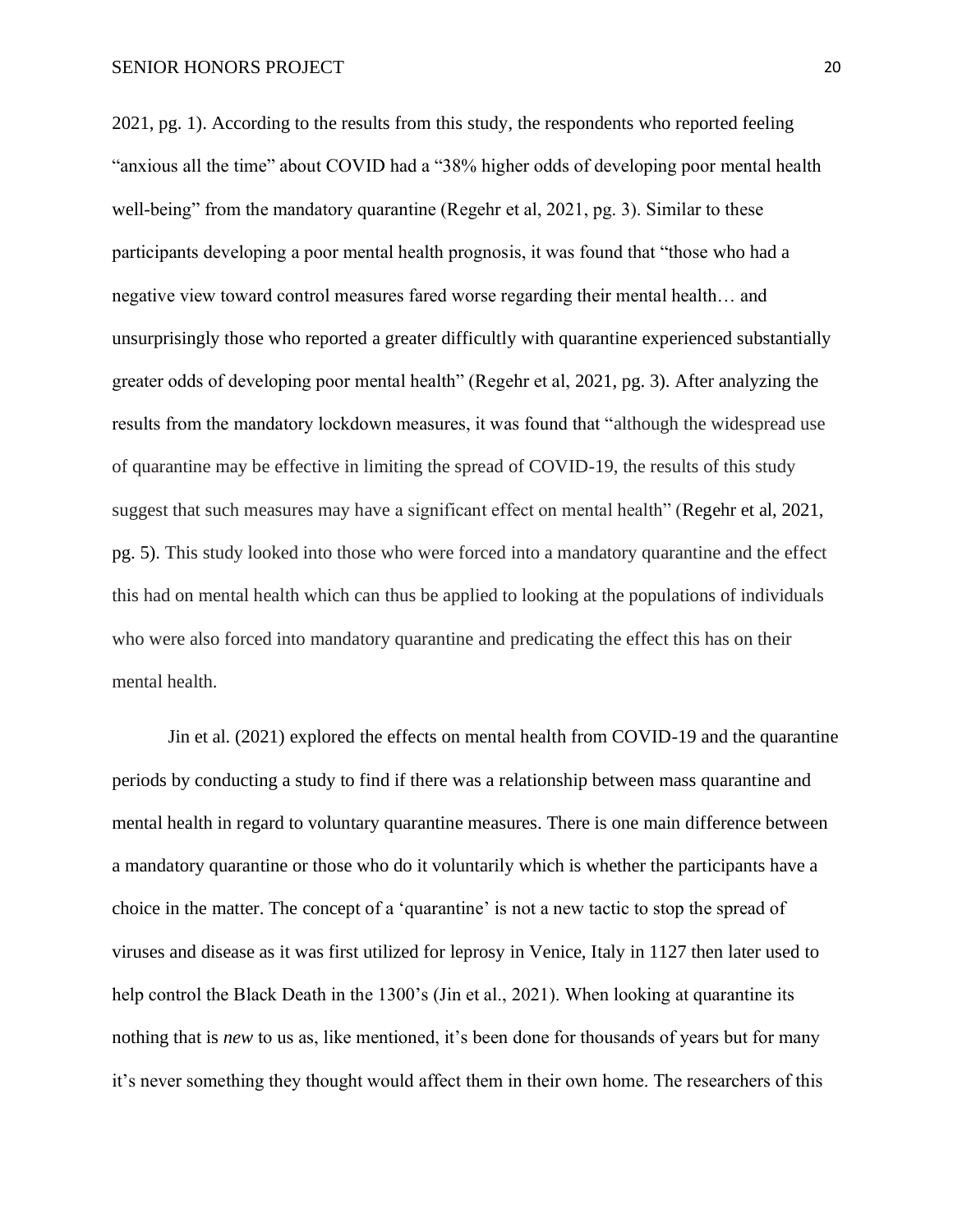2021, pg. 1). According to the results from this study, the respondents who reported feeling "anxious all the time" about COVID had a "38% higher odds of developing poor mental health well-being" from the mandatory quarantine (Regehr et al, 2021, pg. 3). Similar to these participants developing a poor mental health prognosis, it was found that "those who had a negative view toward control measures fared worse regarding their mental health… and unsurprisingly those who reported a greater difficultly with quarantine experienced substantially greater odds of developing poor mental health" (Regehr et al, 2021, pg. 3). After analyzing the results from the mandatory lockdown measures, it was found that "although the widespread use of quarantine may be effective in limiting the spread of COVID-19, the results of this study suggest that such measures may have a significant effect on mental health" (Regehr et al, 2021, pg. 5). This study looked into those who were forced into a mandatory quarantine and the effect this had on mental health which can thus be applied to looking at the populations of individuals who were also forced into mandatory quarantine and predicating the effect this has on their mental health.

Jin et al. (2021) explored the effects on mental health from COVID-19 and the quarantine periods by conducting a study to find if there was a relationship between mass quarantine and mental health in regard to voluntary quarantine measures. There is one main difference between a mandatory quarantine or those who do it voluntarily which is whether the participants have a choice in the matter. The concept of a 'quarantine' is not a new tactic to stop the spread of viruses and disease as it was first utilized for leprosy in Venice, Italy in 1127 then later used to help control the Black Death in the 1300's (Jin et al., 2021). When looking at quarantine its nothing that is *new* to us as, like mentioned, it's been done for thousands of years but for many it's never something they thought would affect them in their own home. The researchers of this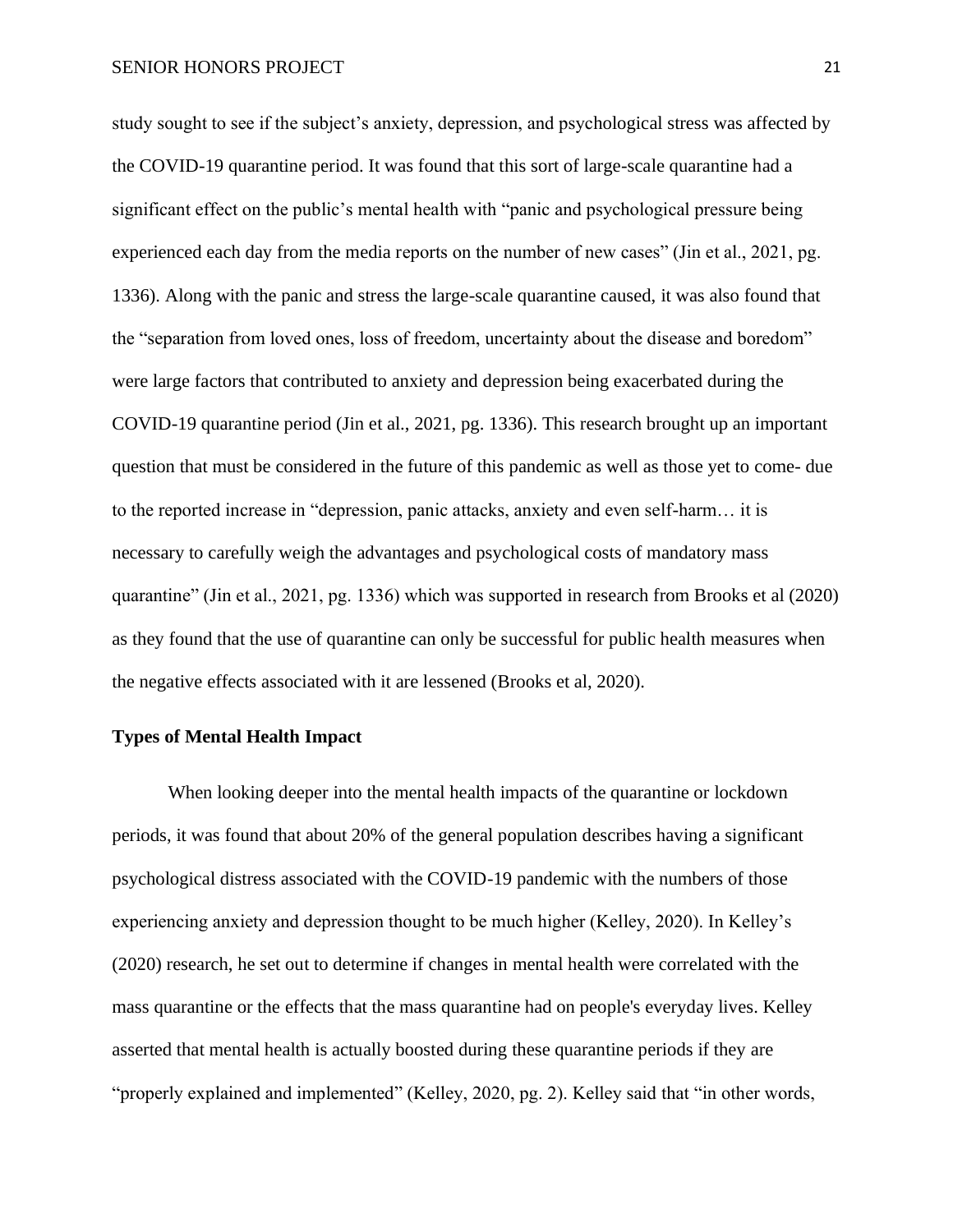study sought to see if the subject's anxiety, depression, and psychological stress was affected by the COVID-19 quarantine period. It was found that this sort of large-scale quarantine had a significant effect on the public's mental health with "panic and psychological pressure being experienced each day from the media reports on the number of new cases" (Jin et al., 2021, pg. 1336). Along with the panic and stress the large-scale quarantine caused, it was also found that the "separation from loved ones, loss of freedom, uncertainty about the disease and boredom" were large factors that contributed to anxiety and depression being exacerbated during the COVID-19 quarantine period (Jin et al., 2021, pg. 1336). This research brought up an important question that must be considered in the future of this pandemic as well as those yet to come- due to the reported increase in "depression, panic attacks, anxiety and even self-harm… it is necessary to carefully weigh the advantages and psychological costs of mandatory mass quarantine" (Jin et al., 2021, pg. 1336) which was supported in research from Brooks et al (2020) as they found that the use of quarantine can only be successful for public health measures when the negative effects associated with it are lessened (Brooks et al, 2020).

# **Types of Mental Health Impact**

When looking deeper into the mental health impacts of the quarantine or lockdown periods, it was found that about 20% of the general population describes having a significant psychological distress associated with the COVID-19 pandemic with the numbers of those experiencing anxiety and depression thought to be much higher (Kelley, 2020). In Kelley's (2020) research, he set out to determine if changes in mental health were correlated with the mass quarantine or the effects that the mass quarantine had on people's everyday lives. Kelley asserted that mental health is actually boosted during these quarantine periods if they are "properly explained and implemented" (Kelley, 2020, pg. 2). Kelley said that "in other words,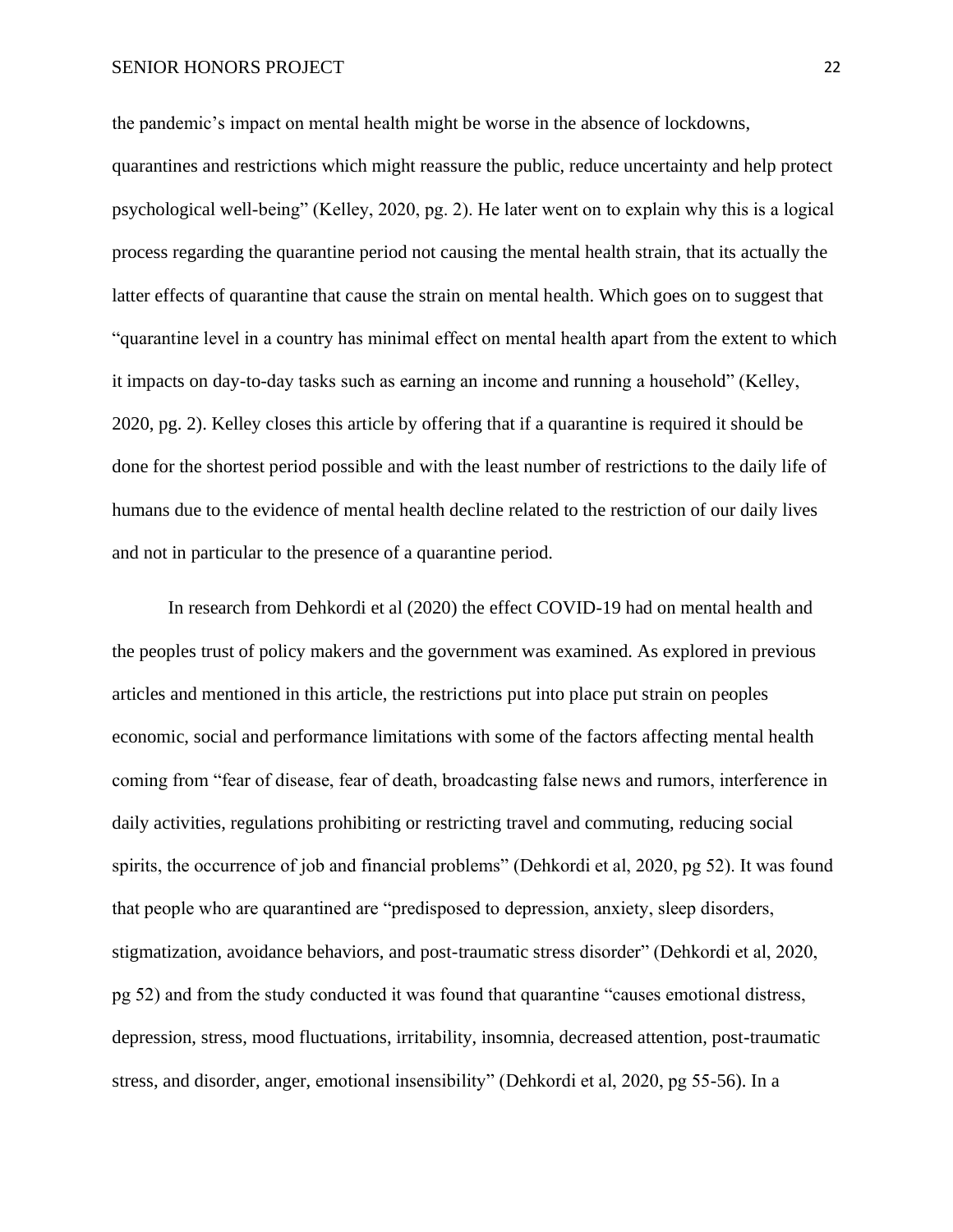the pandemic's impact on mental health might be worse in the absence of lockdowns,

quarantines and restrictions which might reassure the public, reduce uncertainty and help protect psychological well-being" (Kelley, 2020, pg. 2). He later went on to explain why this is a logical process regarding the quarantine period not causing the mental health strain, that its actually the latter effects of quarantine that cause the strain on mental health. Which goes on to suggest that "quarantine level in a country has minimal effect on mental health apart from the extent to which it impacts on day-to-day tasks such as earning an income and running a household" (Kelley, 2020, pg. 2). Kelley closes this article by offering that if a quarantine is required it should be done for the shortest period possible and with the least number of restrictions to the daily life of humans due to the evidence of mental health decline related to the restriction of our daily lives and not in particular to the presence of a quarantine period.

In research from Dehkordi et al (2020) the effect COVID-19 had on mental health and the peoples trust of policy makers and the government was examined. As explored in previous articles and mentioned in this article, the restrictions put into place put strain on peoples economic, social and performance limitations with some of the factors affecting mental health coming from "fear of disease, fear of death, broadcasting false news and rumors, interference in daily activities, regulations prohibiting or restricting travel and commuting, reducing social spirits, the occurrence of job and financial problems" (Dehkordi et al, 2020, pg 52). It was found that people who are quarantined are "predisposed to depression, anxiety, sleep disorders, stigmatization, avoidance behaviors, and post-traumatic stress disorder" (Dehkordi et al, 2020, pg 52) and from the study conducted it was found that quarantine "causes emotional distress, depression, stress, mood fluctuations, irritability, insomnia, decreased attention, post-traumatic stress, and disorder, anger, emotional insensibility" (Dehkordi et al, 2020, pg 55-56). In a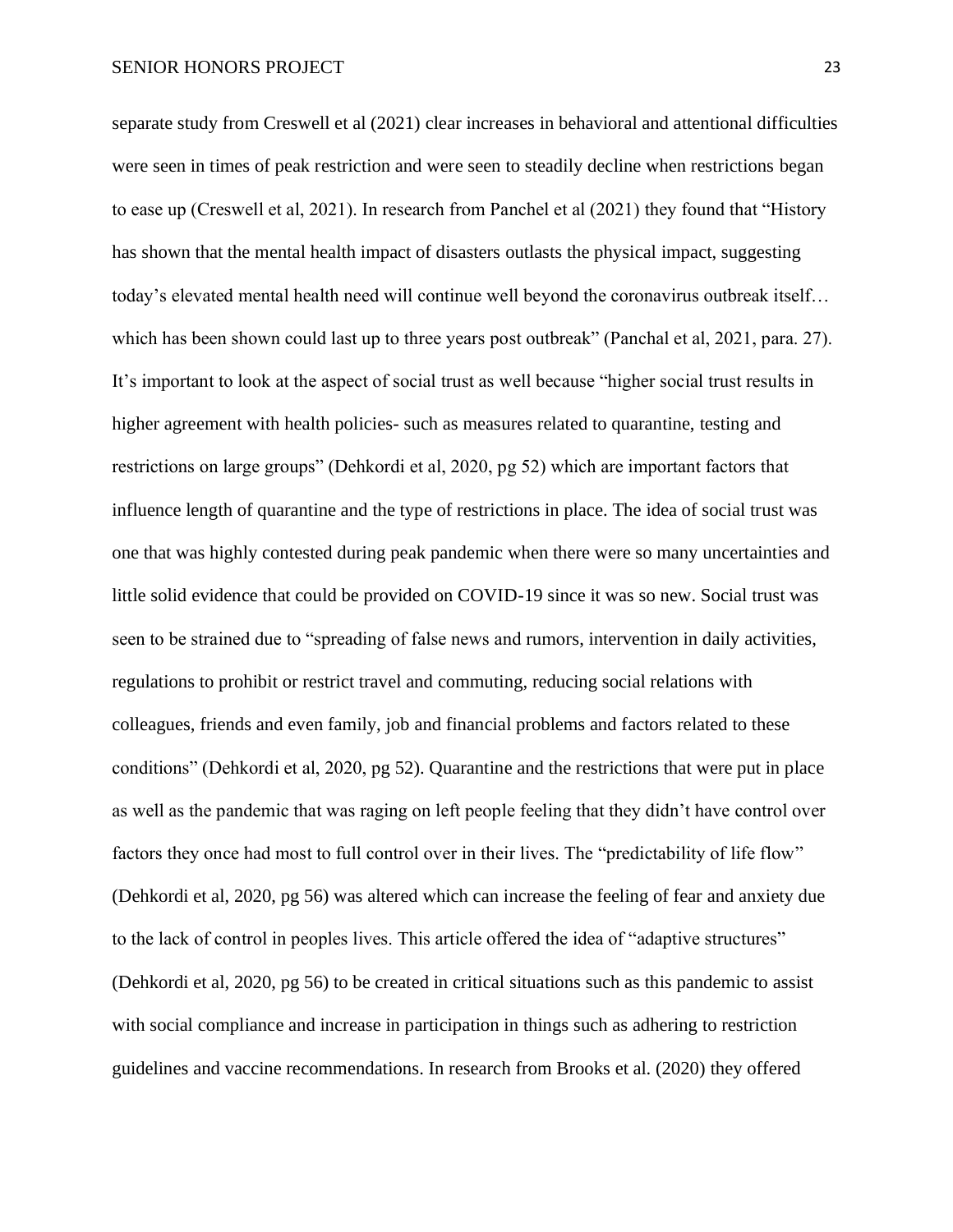separate study from Creswell et al (2021) clear increases in behavioral and attentional difficulties were seen in times of peak restriction and were seen to steadily decline when restrictions began to ease up (Creswell et al, 2021). In research from Panchel et al (2021) they found that "History has shown that the mental health impact of disasters outlasts the physical impact, suggesting today's elevated mental health need will continue well beyond the coronavirus outbreak itself… which has been shown could last up to three years post outbreak" (Panchal et al, 2021, para. 27). It's important to look at the aspect of social trust as well because "higher social trust results in higher agreement with health policies- such as measures related to quarantine, testing and restrictions on large groups" (Dehkordi et al, 2020, pg 52) which are important factors that influence length of quarantine and the type of restrictions in place. The idea of social trust was one that was highly contested during peak pandemic when there were so many uncertainties and little solid evidence that could be provided on COVID-19 since it was so new. Social trust was seen to be strained due to "spreading of false news and rumors, intervention in daily activities, regulations to prohibit or restrict travel and commuting, reducing social relations with colleagues, friends and even family, job and financial problems and factors related to these conditions" (Dehkordi et al, 2020, pg 52). Quarantine and the restrictions that were put in place as well as the pandemic that was raging on left people feeling that they didn't have control over factors they once had most to full control over in their lives. The "predictability of life flow" (Dehkordi et al, 2020, pg 56) was altered which can increase the feeling of fear and anxiety due to the lack of control in peoples lives. This article offered the idea of "adaptive structures" (Dehkordi et al, 2020, pg 56) to be created in critical situations such as this pandemic to assist with social compliance and increase in participation in things such as adhering to restriction guidelines and vaccine recommendations. In research from Brooks et al. (2020) they offered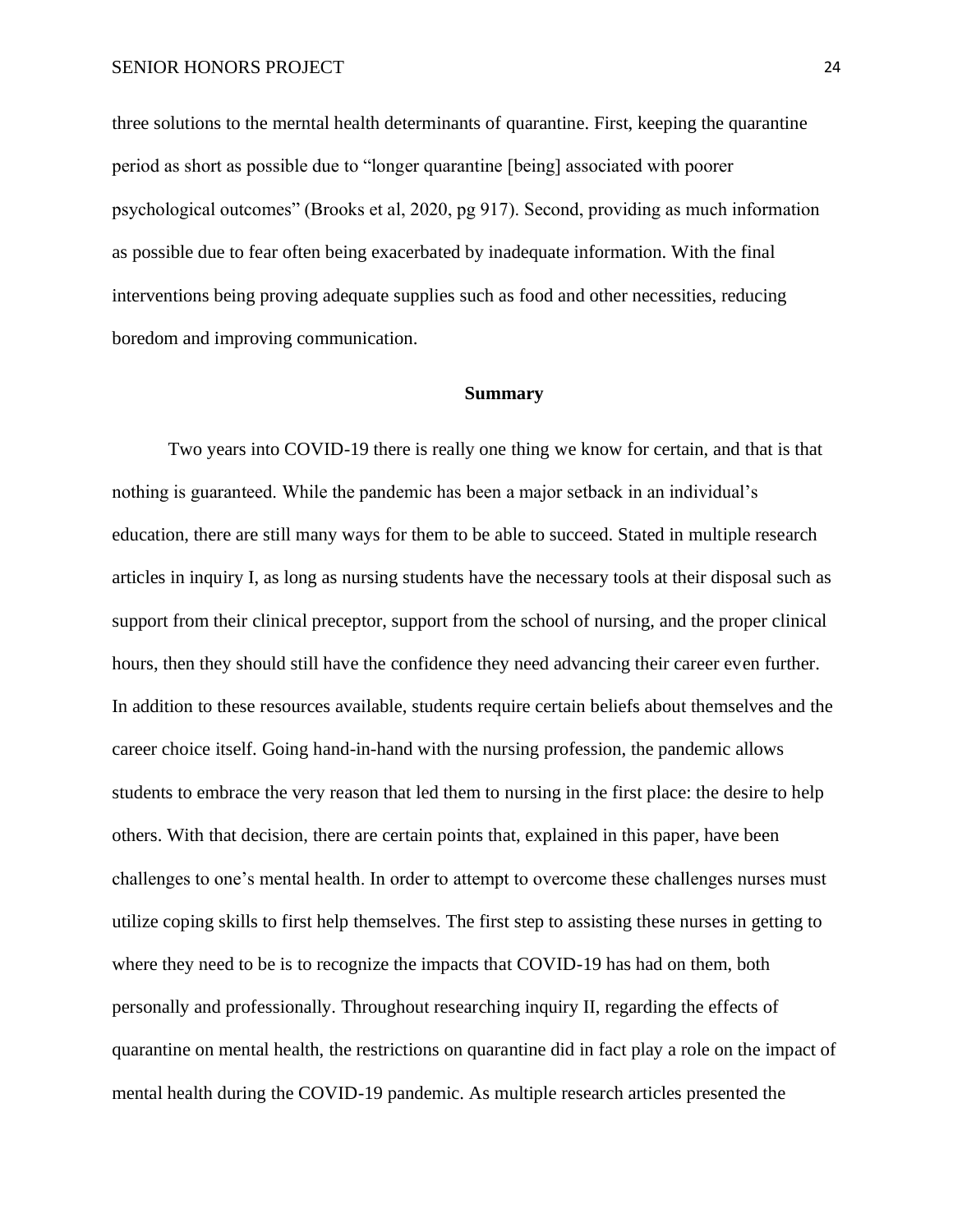three solutions to the merntal health determinants of quarantine. First, keeping the quarantine period as short as possible due to "longer quarantine [being] associated with poorer psychological outcomes" (Brooks et al, 2020, pg 917). Second, providing as much information as possible due to fear often being exacerbated by inadequate information. With the final interventions being proving adequate supplies such as food and other necessities, reducing boredom and improving communication.

#### **Summary**

Two years into COVID-19 there is really one thing we know for certain, and that is that nothing is guaranteed. While the pandemic has been a major setback in an individual's education, there are still many ways for them to be able to succeed. Stated in multiple research articles in inquiry I, as long as nursing students have the necessary tools at their disposal such as support from their clinical preceptor, support from the school of nursing, and the proper clinical hours, then they should still have the confidence they need advancing their career even further. In addition to these resources available, students require certain beliefs about themselves and the career choice itself. Going hand-in-hand with the nursing profession, the pandemic allows students to embrace the very reason that led them to nursing in the first place: the desire to help others. With that decision, there are certain points that, explained in this paper, have been challenges to one's mental health. In order to attempt to overcome these challenges nurses must utilize coping skills to first help themselves. The first step to assisting these nurses in getting to where they need to be is to recognize the impacts that COVID-19 has had on them, both personally and professionally. Throughout researching inquiry II, regarding the effects of quarantine on mental health, the restrictions on quarantine did in fact play a role on the impact of mental health during the COVID-19 pandemic. As multiple research articles presented the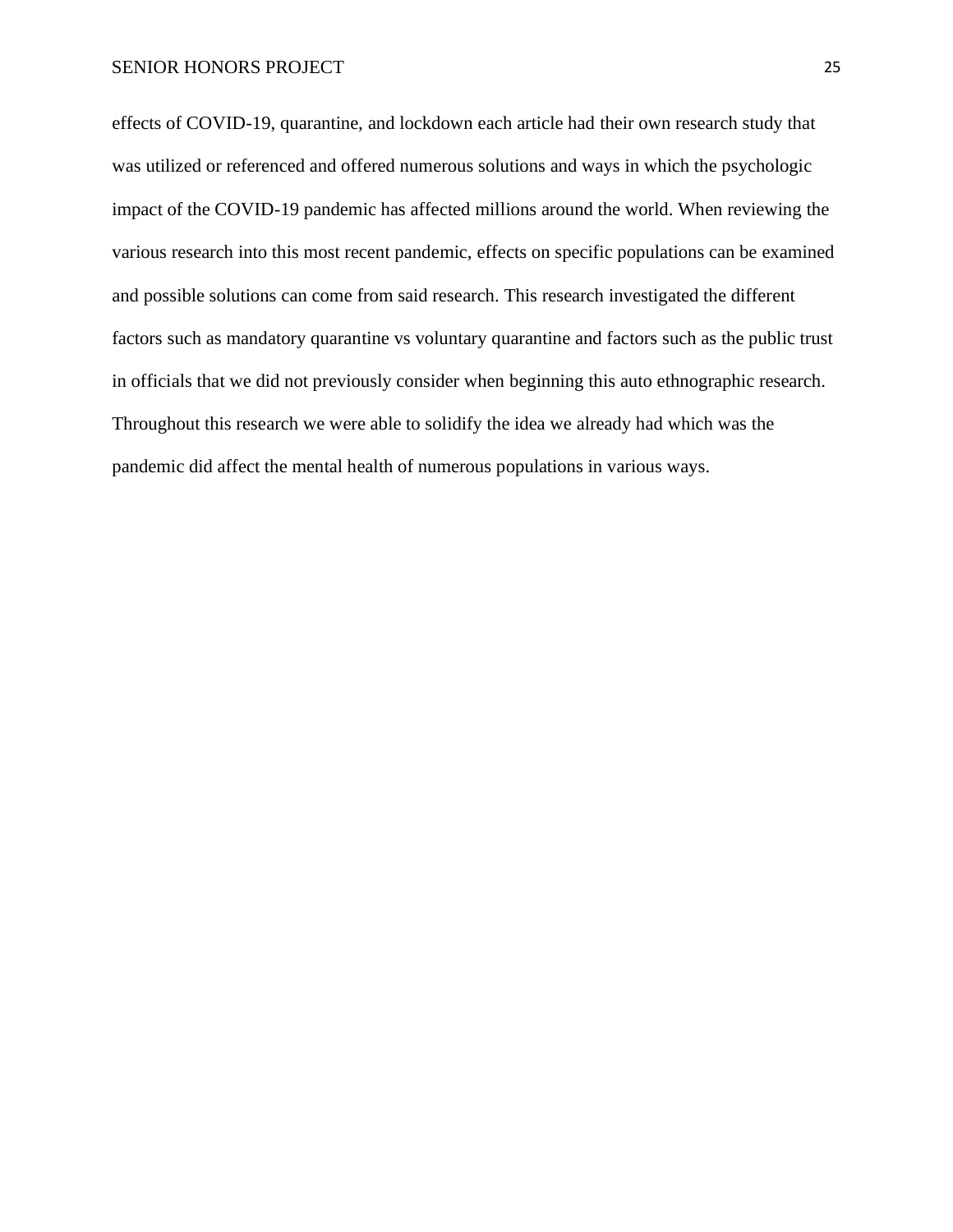effects of COVID-19, quarantine, and lockdown each article had their own research study that was utilized or referenced and offered numerous solutions and ways in which the psychologic impact of the COVID-19 pandemic has affected millions around the world. When reviewing the various research into this most recent pandemic, effects on specific populations can be examined and possible solutions can come from said research. This research investigated the different factors such as mandatory quarantine vs voluntary quarantine and factors such as the public trust in officials that we did not previously consider when beginning this auto ethnographic research. Throughout this research we were able to solidify the idea we already had which was the pandemic did affect the mental health of numerous populations in various ways.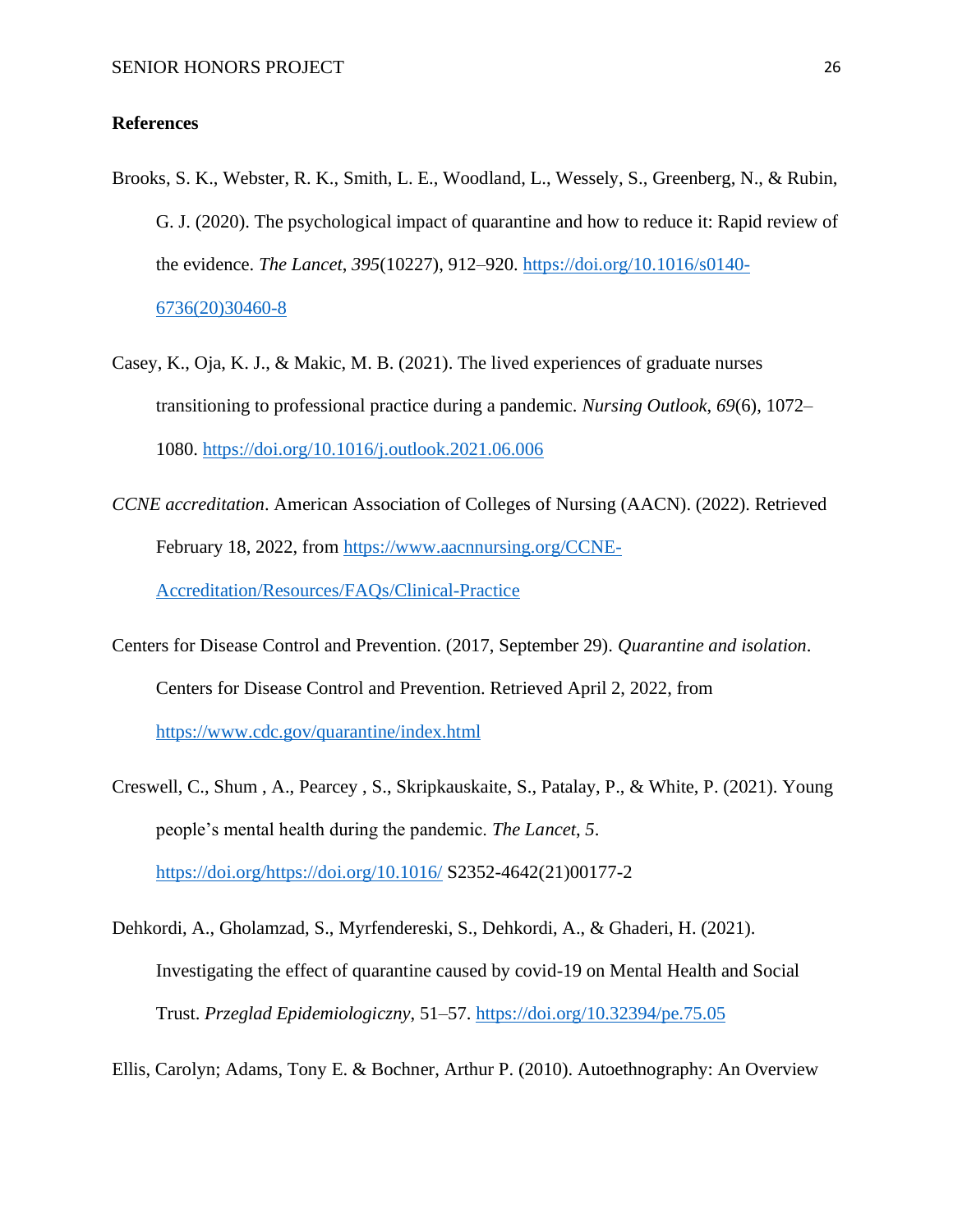#### **References**

- Brooks, S. K., Webster, R. K., Smith, L. E., Woodland, L., Wessely, S., Greenberg, N., & Rubin, G. J. (2020). The psychological impact of quarantine and how to reduce it: Rapid review of the evidence. *The Lancet*, *395*(10227), 912–920. [https://doi.org/10.1016/s0140-](https://doi.org/10.1016/s0140-6736(20)30460-8) [6736\(20\)30460-8](https://doi.org/10.1016/s0140-6736(20)30460-8)
- Casey, K., Oja, K. J., & Makic, M. B. (2021). The lived experiences of graduate nurses transitioning to professional practice during a pandemic. *Nursing Outlook*, *69*(6), 1072– 1080.<https://doi.org/10.1016/j.outlook.2021.06.006>
- *CCNE accreditation*. American Association of Colleges of Nursing (AACN). (2022). Retrieved February 18, 2022, from [https://www.aacnnursing.org/CCNE-](https://www.aacnnursing.org/CCNE-Accreditation/Resources/FAQs/Clinical-Practice)[Accreditation/Resources/FAQs/Clinical-Practice](https://www.aacnnursing.org/CCNE-Accreditation/Resources/FAQs/Clinical-Practice)
- Centers for Disease Control and Prevention. (2017, September 29). *Quarantine and isolation*. Centers for Disease Control and Prevention. Retrieved April 2, 2022, from <https://www.cdc.gov/quarantine/index.html>
- Creswell, C., Shum , A., Pearcey , S., Skripkauskaite, S., Patalay, P., & White, P. (2021). Young people's mental health during the pandemic. *The Lancet*, *5*. [https://doi.org/https://doi.org/10.1016/](https://doi.org/https:/doi.org/10.1016/) S2352-4642(21)00177-2
- Dehkordi, A., Gholamzad, S., Myrfendereski, S., Dehkordi, A., & Ghaderi, H. (2021). Investigating the effect of quarantine caused by covid-19 on Mental Health and Social Trust. *Przeglad Epidemiologiczny*, 51–57.<https://doi.org/10.32394/pe.75.05>

Ellis, Carolyn; Adams, Tony E. & Bochner, Arthur P. (2010). Autoethnography: An Overview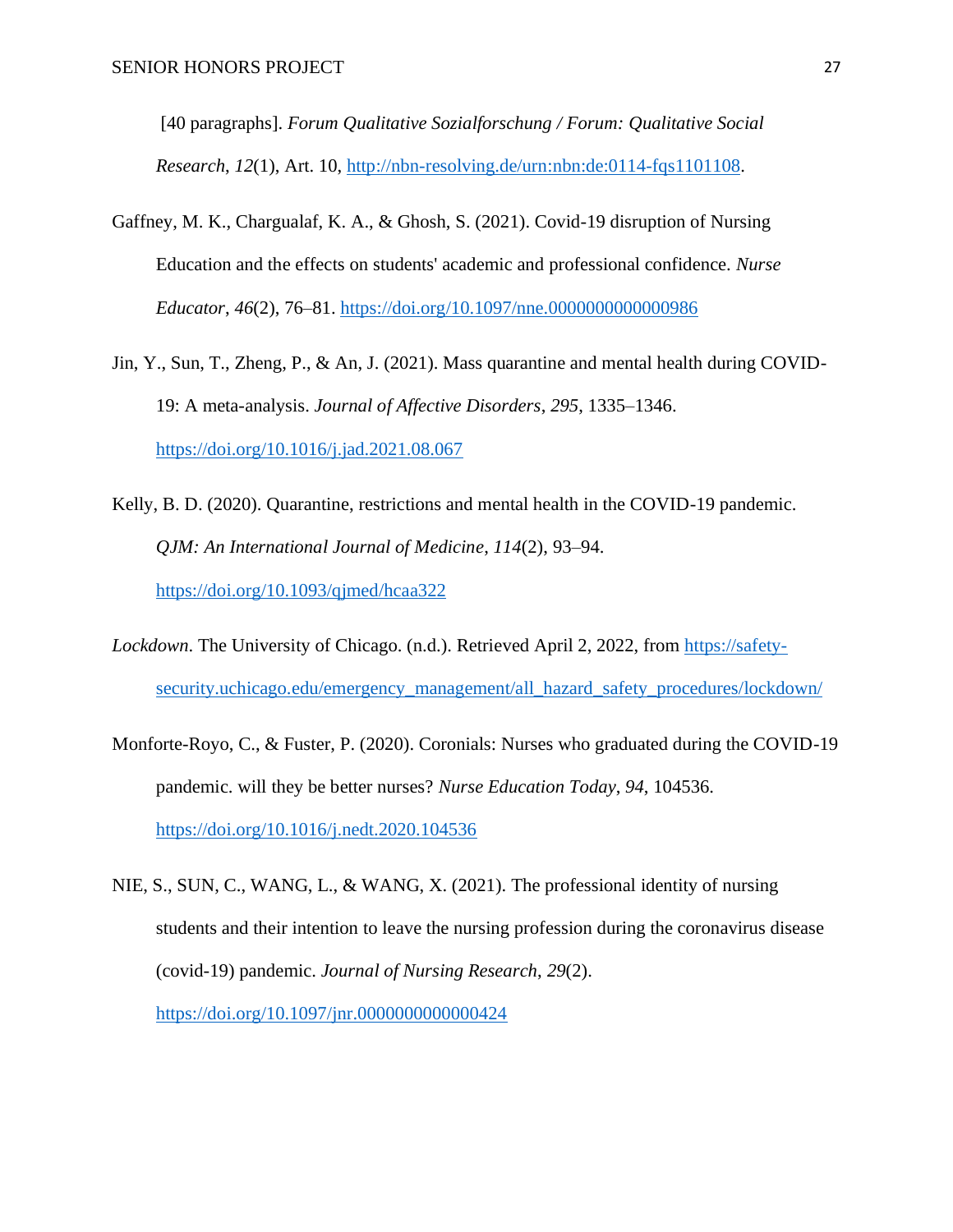[40 paragraphs]. *Forum Qualitative Sozialforschung / Forum: Qualitative Social Research*, *12*(1), Art. 10, [http://nbn-resolving.de/urn:nbn:de:0114-fqs1101108.](http://nbn-resolving.de/urn:nbn:de:0114-fqs1101108)

- Gaffney, M. K., Chargualaf, K. A., & Ghosh, S. (2021). Covid-19 disruption of Nursing Education and the effects on students' academic and professional confidence. *Nurse Educator*, *46*(2), 76–81.<https://doi.org/10.1097/nne.0000000000000986>
- Jin, Y., Sun, T., Zheng, P., & An, J. (2021). Mass quarantine and mental health during COVID-19: A meta-analysis. *Journal of Affective Disorders*, *295*, 1335–1346. <https://doi.org/10.1016/j.jad.2021.08.067>
- Kelly, B. D. (2020). Quarantine, restrictions and mental health in the COVID-19 pandemic. *QJM: An International Journal of Medicine*, *114*(2), 93–94. <https://doi.org/10.1093/qjmed/hcaa322>
- *Lockdown*. The University of Chicago. (n.d.). Retrieved April 2, 2022, from [https://safety](https://safety-security.uchicago.edu/emergency_management/all_hazard_safety_procedures/lockdown/)[security.uchicago.edu/emergency\\_management/all\\_hazard\\_safety\\_procedures/lockdown/](https://safety-security.uchicago.edu/emergency_management/all_hazard_safety_procedures/lockdown/)
- Monforte-Royo, C., & Fuster, P. (2020). Coronials: Nurses who graduated during the COVID-19 pandemic. will they be better nurses? *Nurse Education Today*, *94*, 104536. <https://doi.org/10.1016/j.nedt.2020.104536>
- NIE, S., SUN, C., WANG, L., & WANG, X. (2021). The professional identity of nursing students and their intention to leave the nursing profession during the coronavirus disease (covid-19) pandemic. *Journal of Nursing Research*, *29*(2). <https://doi.org/10.1097/jnr.0000000000000424>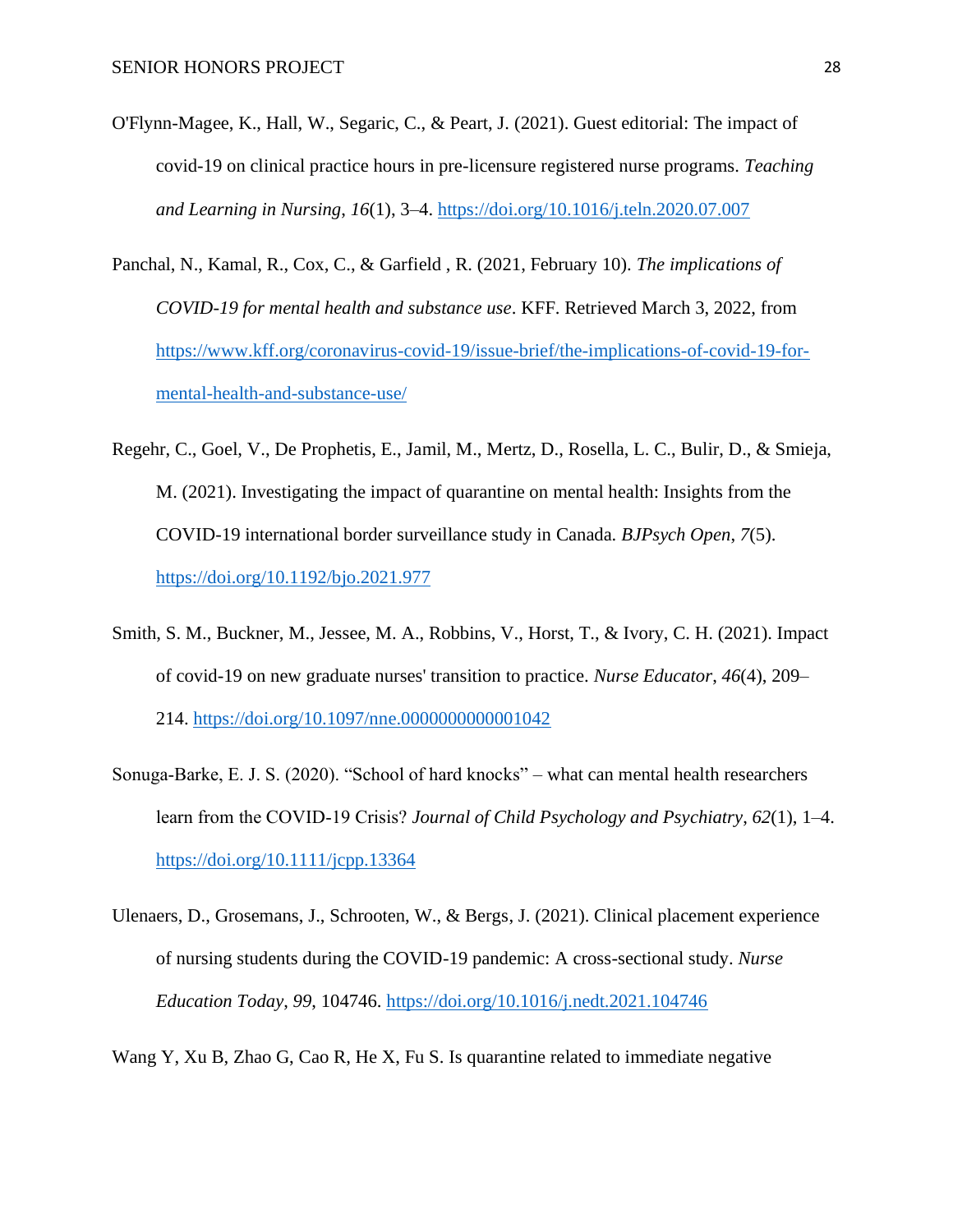- O'Flynn-Magee, K., Hall, W., Segaric, C., & Peart, J. (2021). Guest editorial: The impact of covid-19 on clinical practice hours in pre-licensure registered nurse programs. *Teaching and Learning in Nursing*, *16*(1), 3–4.<https://doi.org/10.1016/j.teln.2020.07.007>
- Panchal, N., Kamal, R., Cox, C., & Garfield , R. (2021, February 10). *The implications of COVID-19 for mental health and substance use*. KFF. Retrieved March 3, 2022, from [https://www.kff.org/coronavirus-covid-19/issue-brief/the-implications-of-covid-19-for](https://www.kff.org/coronavirus-covid-19/issue-brief/the-implications-of-covid-19-for-mental-health-and-substance-use/)[mental-health-and-substance-use/](https://www.kff.org/coronavirus-covid-19/issue-brief/the-implications-of-covid-19-for-mental-health-and-substance-use/)
- Regehr, C., Goel, V., De Prophetis, E., Jamil, M., Mertz, D., Rosella, L. C., Bulir, D., & Smieja, M. (2021). Investigating the impact of quarantine on mental health: Insights from the COVID-19 international border surveillance study in Canada. *BJPsych Open*, *7*(5). <https://doi.org/10.1192/bjo.2021.977>
- Smith, S. M., Buckner, M., Jessee, M. A., Robbins, V., Horst, T., & Ivory, C. H. (2021). Impact of covid-19 on new graduate nurses' transition to practice. *Nurse Educator*, *46*(4), 209– 214.<https://doi.org/10.1097/nne.0000000000001042>
- Sonuga‐Barke, E. J. S. (2020). "School of hard knocks" what can mental health researchers learn from the COVID‐19 Crisis? *Journal of Child Psychology and Psychiatry*, *62*(1), 1–4. <https://doi.org/10.1111/jcpp.13364>
- Ulenaers, D., Grosemans, J., Schrooten, W., & Bergs, J. (2021). Clinical placement experience of nursing students during the COVID-19 pandemic: A cross-sectional study. *Nurse Education Today*, *99*, 104746.<https://doi.org/10.1016/j.nedt.2021.104746>
- Wang Y, Xu B, Zhao G, Cao R, He X, Fu S. Is quarantine related to immediate negative